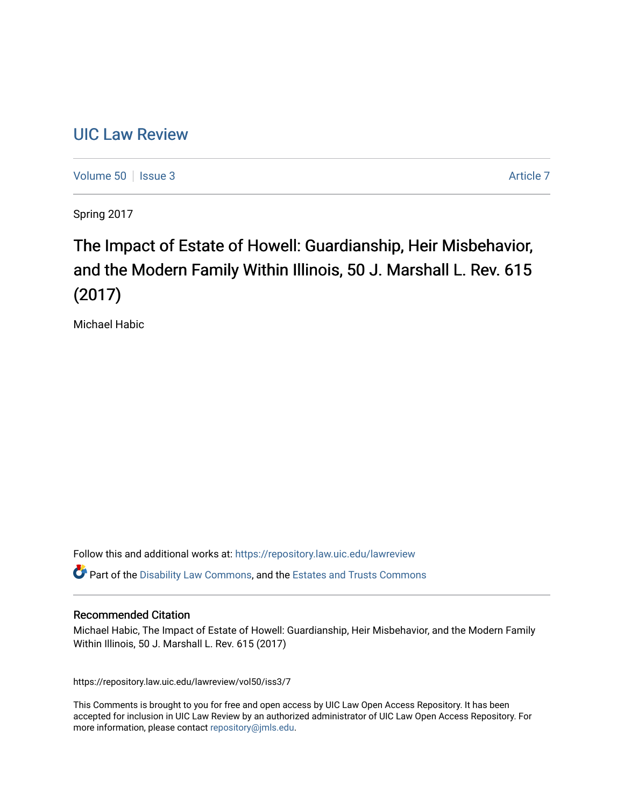## [UIC Law Review](https://repository.law.uic.edu/lawreview)

[Volume 50](https://repository.law.uic.edu/lawreview/vol50) | [Issue 3](https://repository.law.uic.edu/lawreview/vol50/iss3) [Article 7](https://repository.law.uic.edu/lawreview/vol50/iss3/7) Article 7 Article 7 Article 7 Article 7 Article 7 Article 7

Spring 2017

# The Impact of Estate of Howell: Guardianship, Heir Misbehavior, and the Modern Family Within Illinois, 50 J. Marshall L. Rev. 615 (2017)

Michael Habic

Follow this and additional works at: [https://repository.law.uic.edu/lawreview](https://repository.law.uic.edu/lawreview?utm_source=repository.law.uic.edu%2Flawreview%2Fvol50%2Fiss3%2F7&utm_medium=PDF&utm_campaign=PDFCoverPages) 

 $\bullet$  Part of the [Disability Law Commons](http://network.bepress.com/hgg/discipline/1074?utm_source=repository.law.uic.edu%2Flawreview%2Fvol50%2Fiss3%2F7&utm_medium=PDF&utm_campaign=PDFCoverPages), and the Estates and Trusts Commons

#### Recommended Citation

Michael Habic, The Impact of Estate of Howell: Guardianship, Heir Misbehavior, and the Modern Family Within Illinois, 50 J. Marshall L. Rev. 615 (2017)

https://repository.law.uic.edu/lawreview/vol50/iss3/7

This Comments is brought to you for free and open access by UIC Law Open Access Repository. It has been accepted for inclusion in UIC Law Review by an authorized administrator of UIC Law Open Access Repository. For more information, please contact [repository@jmls.edu.](mailto:repository@jmls.edu)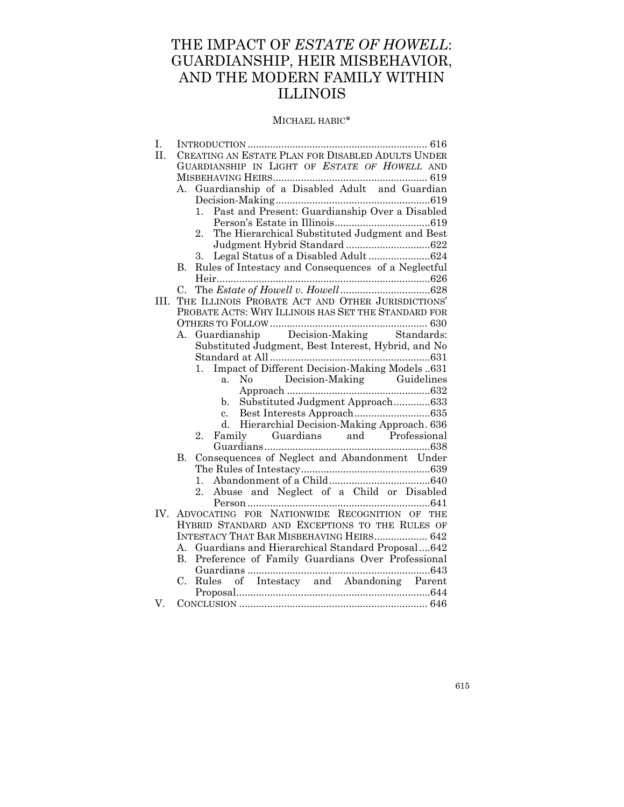## THE IMPACT OF *ESTATE OF HOWELL*: GUARDIANSHIP, HEIR MISBEHAVIOR, AND THE MODERN FAMILY WITHIN ILLINOIS

#### MICHAEL HABIC\*

| Ι.  |                                                              |
|-----|--------------------------------------------------------------|
| II. | CREATING AN ESTATE PLAN FOR DISABLED ADULTS UNDER            |
|     | GUARDIANSHIP IN LIGHT OF ESTATE OF HOWELL AND                |
|     |                                                              |
|     | Guardianship of a Disabled Adult and Guardian<br>А.          |
|     |                                                              |
|     | Past and Present: Guardianship Over a Disabled<br>$1_{-}$    |
|     |                                                              |
|     | The Hierarchical Substituted Judgment and Best<br>2.         |
|     |                                                              |
|     | Legal Status of a Disabled Adult624<br>3.                    |
|     | Rules of Intestacy and Consequences of a Neglectful<br>В.    |
|     |                                                              |
|     | C.                                                           |
| HL. | THE ILLINOIS PROBATE ACT AND OTHER JURISDICTIONS'            |
|     | PROBATE ACTS: WHY ILLINOIS HAS SET THE STANDARD FOR          |
|     |                                                              |
|     | Guardianship Decision-Making Standards:<br>A.                |
|     | Substituted Judgment, Best Interest, Hybrid, and No          |
|     |                                                              |
|     |                                                              |
|     | No Decision-Making Guidelines<br>a.                          |
|     |                                                              |
|     | Substituted Judgment Approach633<br>$\mathbf{b}$ .           |
|     | c.                                                           |
|     | Hierarchial Decision-Making Approach. 636<br>d.              |
|     | Family Guardians and Professional<br>$2_{-}$                 |
|     |                                                              |
|     | Consequences of Neglect and Abandonment Under<br><b>B.</b>   |
|     |                                                              |
|     | 1.                                                           |
|     | Abuse and Neglect of a Child or Disabled<br>$\overline{2}$ . |
|     |                                                              |
| IV. | ADVOCATING FOR NATIONWIDE RECOGNITION OF THE                 |
|     | HYBRID STANDARD AND EXCEPTIONS TO THE RULES OF               |
|     | INTESTACY THAT BAR MISBEHAVING HEIRS 642                     |
|     | A. Guardians and Hierarchical Standard Proposal642           |
|     | B. Preference of Family Guardians Over Professional          |
|     |                                                              |
|     | Rules of Intestacy and Abandoning Parent<br>C.               |
| V.  |                                                              |
|     |                                                              |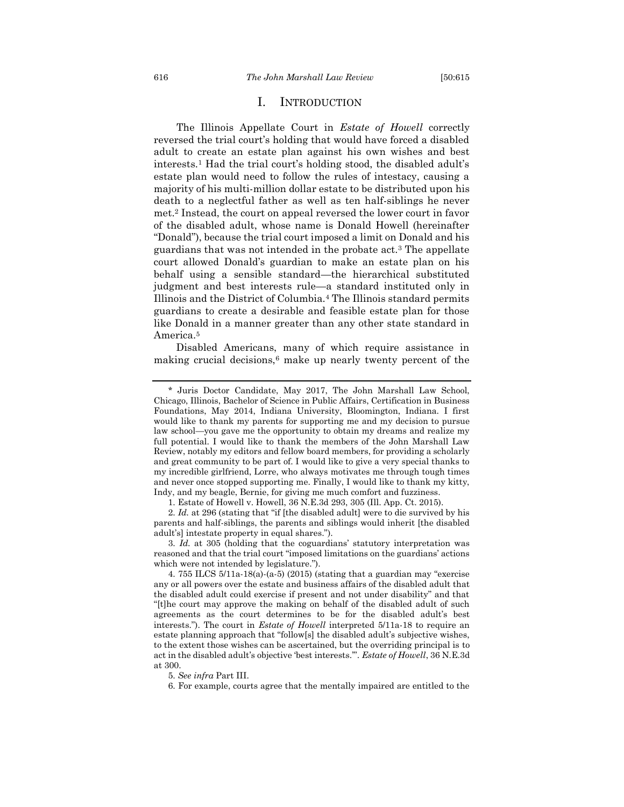#### I. INTRODUCTION

<span id="page-2-0"></span>The Illinois Appellate Court in *Estate of Howell* correctly reversed the trial court's holding that would have forced a disabled adult to create an estate plan against his own wishes and best interests.<sup>1</sup> Had the trial court's holding stood, the disabled adult's estate plan would need to follow the rules of intestacy, causing a majority of his multi-million dollar estate to be distributed upon his death to a neglectful father as well as ten half-siblings he never met.<sup>2</sup> Instead, the court on appeal reversed the lower court in favor of the disabled adult, whose name is Donald Howell (hereinafter "Donald"), because the trial court imposed a limit on Donald and his guardians that was not intended in the probate act.<sup>3</sup> The appellate court allowed Donald's guardian to make an estate plan on his behalf using a sensible standard—the hierarchical substituted judgment and best interests rule—a standard instituted only in Illinois and the District of Columbia.<sup>4</sup> The Illinois standard permits guardians to create a desirable and feasible estate plan for those like Donald in a manner greater than any other state standard in America. 5

Disabled Americans, many of which require assistance in making crucial decisions,<sup>6</sup> make up nearly twenty percent of the

2. *Id.* at 296 (stating that "if [the disabled adult] were to die survived by his parents and half-siblings, the parents and siblings would inherit [the disabled adult's] intestate property in equal shares.").

<sup>\*</sup> Juris Doctor Candidate, May 2017, The John Marshall Law School, Chicago, Illinois, Bachelor of Science in Public Affairs, Certification in Business Foundations, May 2014, Indiana University, Bloomington, Indiana. I first would like to thank my parents for supporting me and my decision to pursue law school—you gave me the opportunity to obtain my dreams and realize my full potential. I would like to thank the members of the John Marshall Law Review, notably my editors and fellow board members, for providing a scholarly and great community to be part of. I would like to give a very special thanks to my incredible girlfriend, Lorre, who always motivates me through tough times and never once stopped supporting me. Finally, I would like to thank my kitty, Indy, and my beagle, Bernie, for giving me much comfort and fuzziness.

<sup>1.</sup> Estate of Howell v. Howell, 36 N.E.3d 293, 305 (Ill. App. Ct. 2015).

<sup>3.</sup> *Id.* at 305 (holding that the coguardians' statutory interpretation was reasoned and that the trial court "imposed limitations on the guardians' actions which were not intended by legislature.").

<sup>4.</sup> 755 ILCS 5/11a-18(a)-(a-5) (2015) (stating that a guardian may "exercise any or all powers over the estate and business affairs of the disabled adult that the disabled adult could exercise if present and not under disability" and that "[t]he court may approve the making on behalf of the disabled adult of such agreements as the court determines to be for the disabled adult's best interests."). The court in *Estate of Howell* interpreted 5/11a-18 to require an estate planning approach that "follow[s] the disabled adult's subjective wishes, to the extent those wishes can be ascertained, but the overriding principal is to act in the disabled adult's objective 'best interests.'". *Estate of Howell*, 36 N.E.3d at 300.

<sup>5.</sup> *See infra* Part III.

<sup>6.</sup> For example, courts agree that the mentally impaired are entitled to the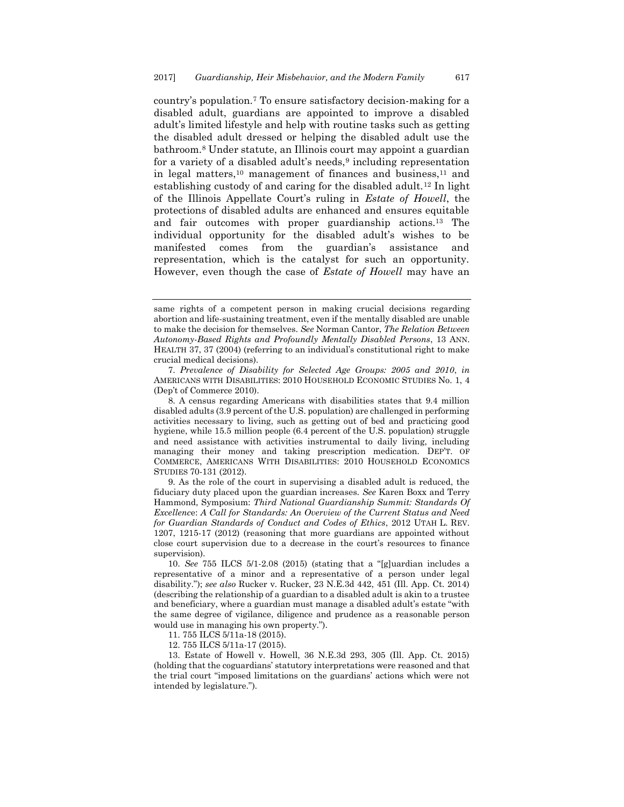<span id="page-3-0"></span>country's population.<sup>7</sup> To ensure satisfactory decision-making for a disabled adult, guardians are appointed to improve a disabled adult's limited lifestyle and help with routine tasks such as getting the disabled adult dressed or helping the disabled adult use the bathroom.<sup>8</sup> Under statute, an Illinois court may appoint a guardian for a variety of a disabled adult's needs,<sup>9</sup> including representation in legal matters,<sup>10</sup> management of finances and business,<sup>11</sup> and establishing custody of and caring for the disabled adult.<sup>12</sup> In light of the Illinois Appellate Court's ruling in *Estate of Howell*, the protections of disabled adults are enhanced and ensures equitable and fair outcomes with proper guardianship actions.<sup>13</sup> The individual opportunity for the disabled adult's wishes to be manifested comes from the guardian's assistance and representation, which is the catalyst for such an opportunity. However, even though the case of *Estate of Howell* may have an

13. Estate of Howell v. Howell, 36 N.E.3d 293, 305 (Ill. App. Ct. 2015) (holding that the coguardians' statutory interpretations were reasoned and that the trial court "imposed limitations on the guardians' actions which were not intended by legislature.").

same rights of a competent person in making crucial decisions regarding abortion and life-sustaining treatment, even if the mentally disabled are unable to make the decision for themselves. *See* Norman Cantor, *The Relation Between Autonomy-Based Rights and Profoundly Mentally Disabled Persons*, 13 ANN. HEALTH 37, 37 (2004) (referring to an individual's constitutional right to make crucial medical decisions).

<sup>7.</sup> *Prevalence of Disability for Selected Age Groups: 2005 and 2010*, *in* AMERICANS WITH DISABILITIES: 2010 HOUSEHOLD ECONOMIC STUDIES No. 1, 4 (Dep't of Commerce 2010).

<sup>8.</sup> A census regarding Americans with disabilities states that 9.4 million disabled adults (3.9 percent of the U.S. population) are challenged in performing activities necessary to living, such as getting out of bed and practicing good hygiene, while 15.5 million people (6.4 percent of the U.S. population) struggle and need assistance with activities instrumental to daily living, including managing their money and taking prescription medication. DEP'T. OF COMMERCE, AMERICANS WITH DISABILITIES: 2010 HOUSEHOLD ECONOMICS STUDIES 70-131 (2012).

<sup>9.</sup> As the role of the court in supervising a disabled adult is reduced, the fiduciary duty placed upon the guardian increases. *See* Karen Boxx and Terry Hammond, Symposium: *Third National Guardianship Summit: Standards Of Excellenc*e: *A Call for Standards: An Overview of the Current Status and Need for Guardian Standards of Conduct and Codes of Ethics*, 2012 UTAH L. REV. 1207, 1215-17 (2012) (reasoning that more guardians are appointed without close court supervision due to a decrease in the court's resources to finance supervision).

<sup>10.</sup> *See* 755 ILCS 5/1-2.08 (2015) (stating that a "[g]uardian includes a representative of a minor and a representative of a person under legal disability."); *see also* Rucker v. Rucker, 23 N.E.3d 442, 451 (Ill. App. Ct. 2014) (describing the relationship of a guardian to a disabled adult is akin to a trustee and beneficiary, where a guardian must manage a disabled adult's estate "with the same degree of vigilance, diligence and prudence as a reasonable person would use in managing his own property.").

<sup>11.</sup> 755 ILCS 5/11a-18 (2015).

<sup>12.</sup> 755 ILCS 5/11a-17 (2015).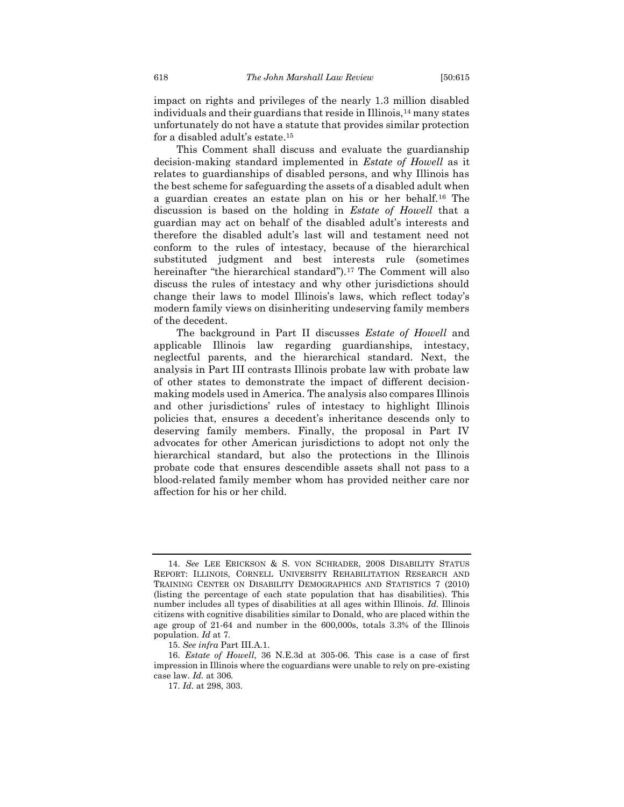impact on rights and privileges of the nearly 1.3 million disabled individuals and their guardians that reside in Illinois,<sup>14</sup> many states unfortunately do not have a statute that provides similar protection for a disabled adult's estate.<sup>15</sup>

This Comment shall discuss and evaluate the guardianship decision-making standard implemented in *Estate of Howell* as it relates to guardianships of disabled persons, and why Illinois has the best scheme for safeguarding the assets of a disabled adult when a guardian creates an estate plan on his or her behalf.<sup>16</sup> The discussion is based on the holding in *Estate of Howell* that a guardian may act on behalf of the disabled adult's interests and therefore the disabled adult's last will and testament need not conform to the rules of intestacy, because of the hierarchical substituted judgment and best interests rule (sometimes hereinafter "the hierarchical standard").<sup>17</sup> The Comment will also discuss the rules of intestacy and why other jurisdictions should change their laws to model Illinois's laws, which reflect today's modern family views on disinheriting undeserving family members of the decedent.

The background in Part II discusses *Estate of Howell* and applicable Illinois law regarding guardianships, intestacy, neglectful parents, and the hierarchical standard. Next, the analysis in Part III contrasts Illinois probate law with probate law of other states to demonstrate the impact of different decisionmaking models used in America. The analysis also compares Illinois and other jurisdictions' rules of intestacy to highlight Illinois policies that, ensures a decedent's inheritance descends only to deserving family members. Finally, the proposal in Part IV advocates for other American jurisdictions to adopt not only the hierarchical standard, but also the protections in the Illinois probate code that ensures descendible assets shall not pass to a blood-related family member whom has provided neither care nor affection for his or her child.

<sup>14.</sup> *See* LEE ERICKSON & S. VON SCHRADER, 2008 DISABILITY STATUS REPORT: ILLINOIS, CORNELL UNIVERSITY REHABILITATION RESEARCH AND TRAINING CENTER ON DISABILITY DEMOGRAPHICS AND STATISTICS 7 (2010) (listing the percentage of each state population that has disabilities). This number includes all types of disabilities at all ages within Illinois. *Id.* Illinois citizens with cognitive disabilities similar to Donald, who are placed within the age group of 21-64 and number in the 600,000s, totals 3.3% of the Illinois population. *Id* at 7*.* 

<sup>15.</sup> *See infra* Part III.A.1.

<sup>16.</sup> *Estate of Howell*, 36 N.E.3d at 305-06. This case is a case of first impression in Illinois where the coguardians were unable to rely on pre-existing case law. *Id.* at 306*.*

<sup>17.</sup> *Id*. at 298, 303.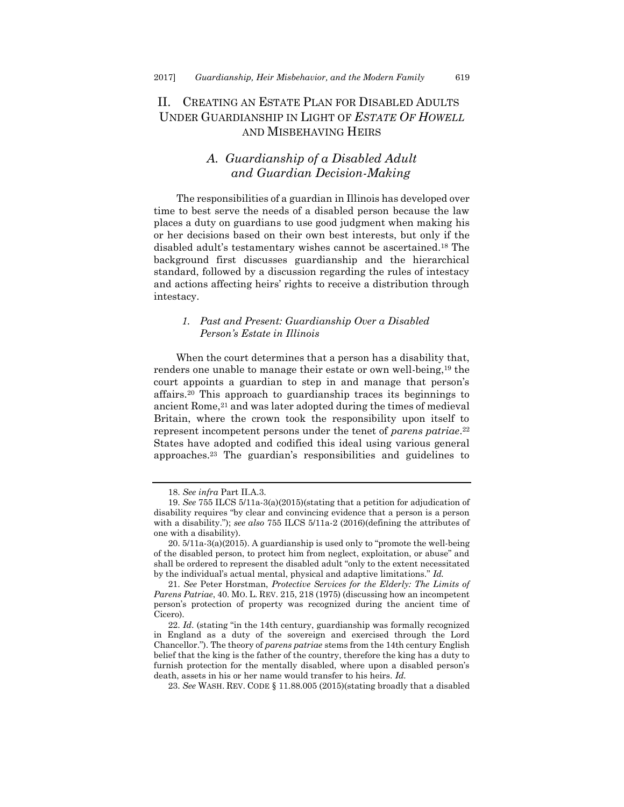## <span id="page-5-0"></span>II. CREATING AN ESTATE PLAN FOR DISABLED ADULTS UNDER GUARDIANSHIP IN LIGHT OF *ESTATE OF HOWELL* AND MISBEHAVING HEIRS

## *A. Guardianship of a Disabled Adult and Guardian Decision-Making*

<span id="page-5-1"></span>The responsibilities of a guardian in Illinois has developed over time to best serve the needs of a disabled person because the law places a duty on guardians to use good judgment when making his or her decisions based on their own best interests, but only if the disabled adult's testamentary wishes cannot be ascertained. <sup>18</sup> The background first discusses guardianship and the hierarchical standard, followed by a discussion regarding the rules of intestacy and actions affecting heirs' rights to receive a distribution through intestacy.

#### <span id="page-5-2"></span>*1. Past and Present: Guardianship Over a Disabled Person's Estate in Illinois*

When the court determines that a person has a disability that, renders one unable to manage their estate or own well-being,<sup>19</sup> the court appoints a guardian to step in and manage that person's affairs.<sup>20</sup> This approach to guardianship traces its beginnings to ancient Rome,<sup>21</sup> and was later adopted during the times of medieval Britain, where the crown took the responsibility upon itself to represent incompetent persons under the tenet of *parens patriae*. 22 States have adopted and codified this ideal using various general approaches. <sup>23</sup> The guardian's responsibilities and guidelines to

<sup>18.</sup> *See infra* Part II.A.3.

<sup>19.</sup> *See* 755 ILCS 5/11a-3(a)(2015)(stating that a petition for adjudication of disability requires "by clear and convincing evidence that a person is a person with a disability."); *see also* 755 ILCS 5/11a-2 (2016)(defining the attributes of one with a disability).

<sup>20.</sup> 5/11a-3(a)(2015). A guardianship is used only to "promote the well-being of the disabled person, to protect him from neglect, exploitation, or abuse" and shall be ordered to represent the disabled adult "only to the extent necessitated by the individual's actual mental, physical and adaptive limitations." *Id.* 

<sup>21.</sup> *See* Peter Horstman, *Protective Services for the Elderly: The Limits of Parens Patriae*, 40. MO. L. REV. 215, 218 (1975) (discussing how an incompetent person's protection of property was recognized during the ancient time of Cicero).

<sup>22.</sup> *Id*. (stating "in the 14th century, guardianship was formally recognized in England as a duty of the sovereign and exercised through the Lord Chancellor."). The theory of *parens patriae* stems from the 14th century English belief that the king is the father of the country, therefore the king has a duty to furnish protection for the mentally disabled, where upon a disabled person's death, assets in his or her name would transfer to his heirs. *Id.*

<sup>23.</sup> *See* WASH. REV. CODE § 11.88.005 (2015)(stating broadly that a disabled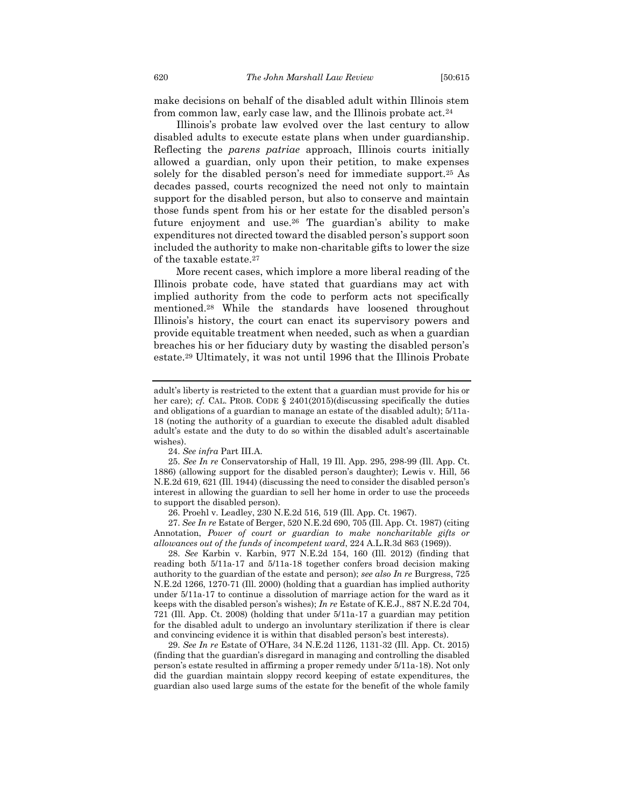make decisions on behalf of the disabled adult within Illinois stem from common law, early case law, and the Illinois probate act.<sup>24</sup>

Illinois's probate law evolved over the last century to allow disabled adults to execute estate plans when under guardianship. Reflecting the *parens patriae* approach, Illinois courts initially allowed a guardian, only upon their petition, to make expenses solely for the disabled person's need for immediate support.<sup>25</sup> As decades passed, courts recognized the need not only to maintain support for the disabled person, but also to conserve and maintain those funds spent from his or her estate for the disabled person's future enjoyment and use.<sup>26</sup> The guardian's ability to make expenditures not directed toward the disabled person's support soon included the authority to make non-charitable gifts to lower the size of the taxable estate.<sup>27</sup>

More recent cases, which implore a more liberal reading of the Illinois probate code, have stated that guardians may act with implied authority from the code to perform acts not specifically mentioned.<sup>28</sup> While the standards have loosened throughout Illinois's history, the court can enact its supervisory powers and provide equitable treatment when needed, such as when a guardian breaches his or her fiduciary duty by wasting the disabled person's estate.<sup>29</sup> Ultimately, it was not until 1996 that the Illinois Probate

24. *See infra* Part III.A.

25. *See In re* Conservatorship of Hall, 19 Ill. App. 295, 298-99 (Ill. App. Ct. 1886) (allowing support for the disabled person's daughter); Lewis v. Hill, 56 N.E.2d 619, 621 (Ill. 1944) (discussing the need to consider the disabled person's interest in allowing the guardian to sell her home in order to use the proceeds to support the disabled person).

26. Proehl v. Leadley, 230 N.E.2d 516, 519 (Ill. App. Ct. 1967).

27. *See In re* Estate of Berger, 520 N.E.2d 690, 705 (Ill. App. Ct. 1987) (citing Annotation, *Power of court or guardian to make noncharitable gifts or allowances out of the funds of incompetent ward*, 224 A.L.R.3d 863 (1969)).

28. *See* Karbin v. Karbin, 977 N.E.2d 154, 160 (Ill. 2012) (finding that reading both 5/11a-17 and 5/11a-18 together confers broad decision making authority to the guardian of the estate and person); *see also In re* Burgress, 725 N.E.2d 1266, 1270-71 (Ill. 2000) (holding that a guardian has implied authority under 5/11a-17 to continue a dissolution of marriage action for the ward as it keeps with the disabled person's wishes); *In re* Estate of K.E.J., 887 N.E.2d 704, 721 (Ill. App. Ct. 2008) (holding that under 5/11a-17 a guardian may petition for the disabled adult to undergo an involuntary sterilization if there is clear and convincing evidence it is within that disabled person's best interests).

29. *See In re* Estate of O'Hare, 34 N.E.2d 1126, 1131-32 (Ill. App. Ct. 2015) (finding that the guardian's disregard in managing and controlling the disabled person's estate resulted in affirming a proper remedy under 5/11a-18). Not only did the guardian maintain sloppy record keeping of estate expenditures, the guardian also used large sums of the estate for the benefit of the whole family

adult's liberty is restricted to the extent that a guardian must provide for his or her care); *cf.* CAL. PROB. CODE § 2401(2015)(discussing specifically the duties and obligations of a guardian to manage an estate of the disabled adult); 5/11a-18 (noting the authority of a guardian to execute the disabled adult disabled adult's estate and the duty to do so within the disabled adult's ascertainable wishes).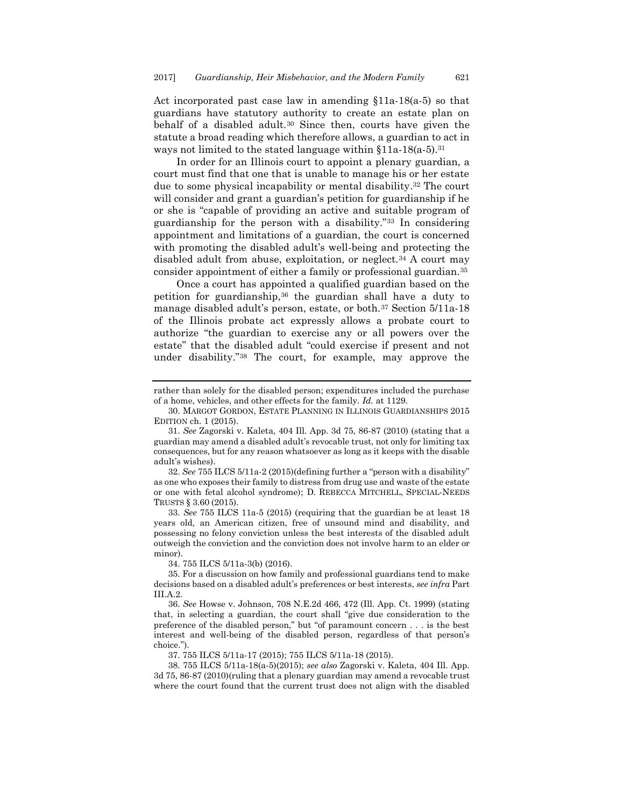Act incorporated past case law in amending §11a-18(a-5) so that guardians have statutory authority to create an estate plan on behalf of a disabled adult.<sup>30</sup> Since then, courts have given the statute a broad reading which therefore allows, a guardian to act in ways not limited to the stated language within  $$11a-18(a-5).$ <sup>31</sup>

In order for an Illinois court to appoint a plenary guardian, a court must find that one that is unable to manage his or her estate due to some physical incapability or mental disability. <sup>32</sup> The court will consider and grant a guardian's petition for guardianship if he or she is "capable of providing an active and suitable program of guardianship for the person with a disability."<sup>33</sup> In considering appointment and limitations of a guardian, the court is concerned with promoting the disabled adult's well-being and protecting the disabled adult from abuse, exploitation, or neglect.<sup>34</sup> A court may consider appointment of either a family or professional guardian.<sup>35</sup>

Once a court has appointed a qualified guardian based on the petition for guardianship,<sup>36</sup> the guardian shall have a duty to manage disabled adult's person, estate, or both.<sup>37</sup> Section 5/11a-18 of the Illinois probate act expressly allows a probate court to authorize "the guardian to exercise any or all powers over the estate" that the disabled adult "could exercise if present and not under disability."<sup>38</sup> The court, for example, may approve the

32. *See* 755 ILCS 5/11a-2 (2015)(defining further a "person with a disability" as one who exposes their family to distress from drug use and waste of the estate or one with fetal alcohol syndrome); D. REBECCA MITCHELL, SPECIAL-NEEDS TRUSTS § 3.60 (2015).

33. *See* 755 ILCS 11a-5 (2015) (requiring that the guardian be at least 18 years old, an American citizen, free of unsound mind and disability, and possessing no felony conviction unless the best interests of the disabled adult outweigh the conviction and the conviction does not involve harm to an elder or minor).

34. 755 ILCS 5/11a-3(b) (2016).

35. For a discussion on how family and professional guardians tend to make decisions based on a disabled adult's preferences or best interests, *see infra* Part  $III.A.2.$ 

36. *See* Howse v. Johnson, 708 N.E.2d 466, 472 (Ill. App. Ct. 1999) (stating that, in selecting a guardian, the court shall "give due consideration to the preference of the disabled person," but "of paramount concern . . . is the best interest and well-being of the disabled person, regardless of that person's choice.").

37. 755 ILCS 5/11a-17 (2015); 755 ILCS 5/11a-18 (2015).

38. 755 ILCS 5/11a-18(a-5)(2015); *see also* Zagorski v. Kaleta, 404 Ill. App. 3d 75, 86-87 (2010)(ruling that a plenary guardian may amend a revocable trust where the court found that the current trust does not align with the disabled

rather than solely for the disabled person; expenditures included the purchase of a home, vehicles, and other effects for the family. *Id.* at 1129.

<sup>30.</sup> MARGOT GORDON, ESTATE PLANNING IN ILLINOIS GUARDIANSHIPS 2015 EDITION ch. 1 (2015).

<sup>31.</sup> *See* Zagorski v. Kaleta, 404 Ill. App. 3d 75, 86-87 (2010) (stating that a guardian may amend a disabled adult's revocable trust, not only for limiting tax consequences, but for any reason whatsoever as long as it keeps with the disable adult's wishes).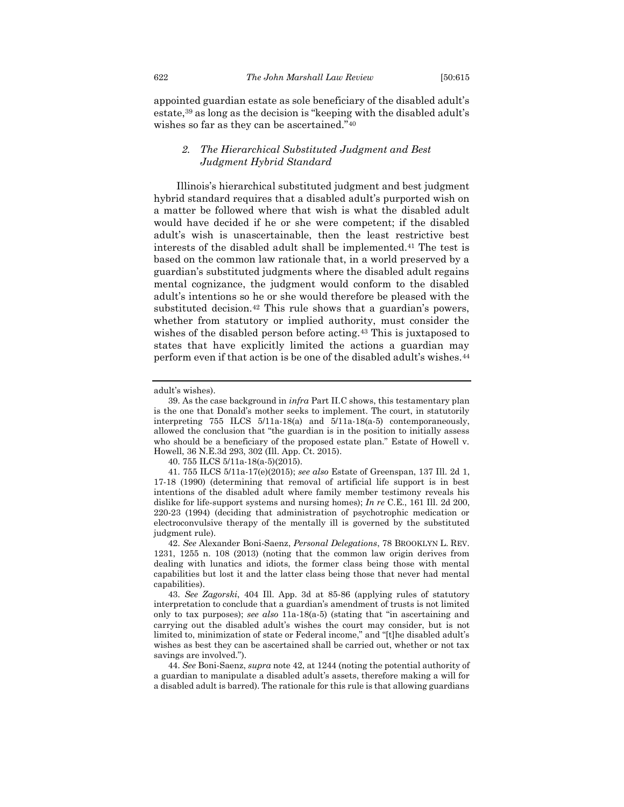appointed guardian estate as sole beneficiary of the disabled adult's estate,<sup>39</sup> as long as the decision is "keeping with the disabled adult's wishes so far as they can be ascertained."<sup>40</sup>

#### <span id="page-8-0"></span>*2. The Hierarchical Substituted Judgment and Best Judgment Hybrid Standard*

Illinois's hierarchical substituted judgment and best judgment hybrid standard requires that a disabled adult's purported wish on a matter be followed where that wish is what the disabled adult would have decided if he or she were competent; if the disabled adult's wish is unascertainable, then the least restrictive best interests of the disabled adult shall be implemented.<sup>41</sup> The test is based on the common law rationale that, in a world preserved by a guardian's substituted judgments where the disabled adult regains mental cognizance, the judgment would conform to the disabled adult's intentions so he or she would therefore be pleased with the substituted decision.<sup>42</sup> This rule shows that a guardian's powers, whether from statutory or implied authority, must consider the wishes of the disabled person before acting.<sup>43</sup> This is juxtaposed to states that have explicitly limited the actions a guardian may perform even if that action is be one of the disabled adult's wishes.<sup>44</sup>

<span id="page-8-1"></span>adult's wishes).

<sup>39.</sup> As the case background in *infra* Part II.C shows, this testamentary plan is the one that Donald's mother seeks to implement. The court, in statutorily interpreting 755 ILCS 5/11a-18(a) and 5/11a-18(a-5) contemporaneously, allowed the conclusion that "the guardian is in the position to initially assess who should be a beneficiary of the proposed estate plan." Estate of Howell v. Howell, 36 N.E.3d 293, 302 (Ill. App. Ct. 2015).

<sup>40.</sup> 755 ILCS 5/11a-18(a-5)(2015).

<sup>41.</sup> 755 ILCS 5/11a-17(e)(2015); *see also* Estate of Greenspan, 137 Ill. 2d 1, 17-18 (1990) (determining that removal of artificial life support is in best intentions of the disabled adult where family member testimony reveals his dislike for life-support systems and nursing homes); *In re* C.E., 161 Ill. 2d 200, 220-23 (1994) (deciding that administration of psychotrophic medication or electroconvulsive therapy of the mentally ill is governed by the substituted judgment rule).

<sup>42.</sup> *See* Alexander Boni-Saenz, *Personal Delegations*, 78 BROOKLYN L. REV. 1231, 1255 n. 108 (2013) (noting that the common law origin derives from dealing with lunatics and idiots, the former class being those with mental capabilities but lost it and the latter class being those that never had mental capabilities).

<sup>43.</sup> *See Zagorski*, 404 Ill. App. 3d at 85-86 (applying rules of statutory interpretation to conclude that a guardian's amendment of trusts is not limited only to tax purposes); *see also* 11a-18(a-5) (stating that "in ascertaining and carrying out the disabled adult's wishes the court may consider, but is not limited to, minimization of state or Federal income," and "[t]he disabled adult's wishes as best they can be ascertained shall be carried out, whether or not tax savings are involved.").

<sup>44.</sup> *See* Boni-Saenz, *supra* note 42, at 1244 (noting the potential authority of a guardian to manipulate a disabled adult's assets, therefore making a will for a disabled adult is barred). The rationale for this rule is that allowing guardians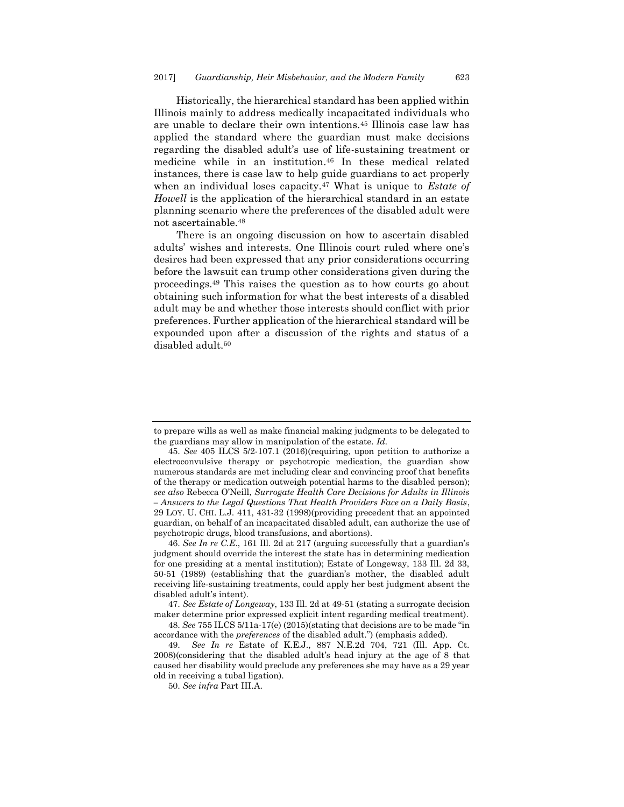Historically, the hierarchical standard has been applied within Illinois mainly to address medically incapacitated individuals who are unable to declare their own intentions.<sup>45</sup> Illinois case law has applied the standard where the guardian must make decisions regarding the disabled adult's use of life-sustaining treatment or medicine while in an institution. <sup>46</sup> In these medical related instances, there is case law to help guide guardians to act properly when an individual loses capacity.<sup>47</sup> What is unique to *Estate of Howell* is the application of the hierarchical standard in an estate planning scenario where the preferences of the disabled adult were not ascertainable.<sup>48</sup>

There is an ongoing discussion on how to ascertain disabled adults' wishes and interests. One Illinois court ruled where one's desires had been expressed that any prior considerations occurring before the lawsuit can trump other considerations given during the proceedings.<sup>49</sup> This raises the question as to how courts go about obtaining such information for what the best interests of a disabled adult may be and whether those interests should conflict with prior preferences. Further application of the hierarchical standard will be expounded upon after a discussion of the rights and status of a disabled adult.<sup>50</sup>

to prepare wills as well as make financial making judgments to be delegated to the guardians may allow in manipulation of the estate. *Id.*

<sup>45.</sup> *See* 405 ILCS 5/2-107.1 (2016)(requiring, upon petition to authorize a electroconvulsive therapy or psychotropic medication, the guardian show numerous standards are met including clear and convincing proof that benefits of the therapy or medication outweigh potential harms to the disabled person); *see also* Rebecca O'Neill, *Surrogate Health Care Decisions for Adults in Illinois – Answers to the Legal Questions That Health Providers Face on a Daily Basis*, 29 LOY. U. CHI. L.J. 411, 431-32 (1998)(providing precedent that an appointed guardian, on behalf of an incapacitated disabled adult, can authorize the use of psychotropic drugs, blood transfusions, and abortions).

<sup>46.</sup> *See In re C.E*., 161 Ill. 2d at 217 (arguing successfully that a guardian's judgment should override the interest the state has in determining medication for one presiding at a mental institution); Estate of Longeway, 133 Ill. 2d 33, 50-51 (1989) (establishing that the guardian's mother, the disabled adult receiving life-sustaining treatments, could apply her best judgment absent the disabled adult's intent).

<sup>47.</sup> *See Estate of Longeway*, 133 Ill. 2d at 49-51 (stating a surrogate decision maker determine prior expressed explicit intent regarding medical treatment).

<sup>48.</sup> *See* 755 ILCS 5/11a-17(e) (2015)(stating that decisions are to be made "in accordance with the *preferences* of the disabled adult.") (emphasis added).

<sup>49.</sup> *See In re* Estate of K.E.J., 887 N.E.2d 704, 721 (Ill. App. Ct. 2008)(considering that the disabled adult's head injury at the age of 8 that caused her disability would preclude any preferences she may have as a 29 year old in receiving a tubal ligation).

<sup>50.</sup> *See infra* Part III.A.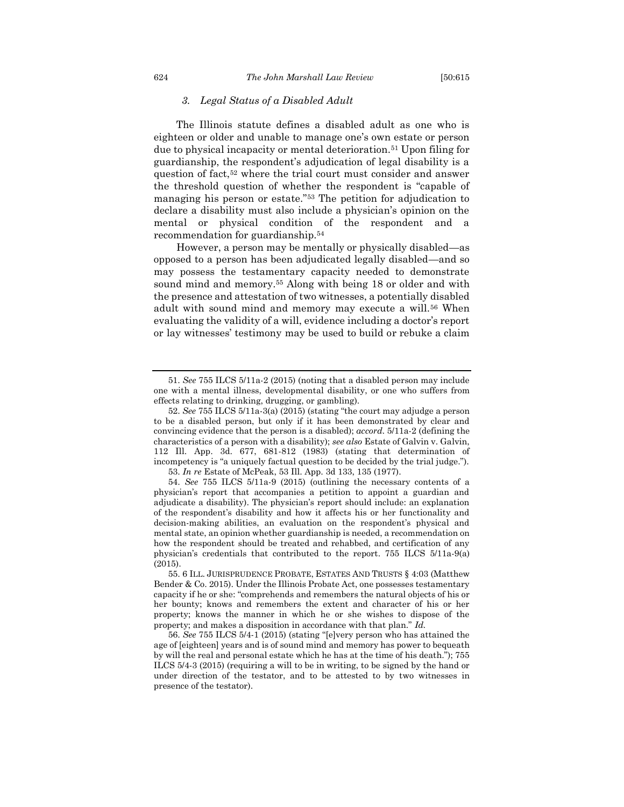#### *3. Legal Status of a Disabled Adult*

<span id="page-10-0"></span>The Illinois statute defines a disabled adult as one who is eighteen or older and unable to manage one's own estate or person due to physical incapacity or mental deterioration.<sup>51</sup> Upon filing for guardianship, the respondent's adjudication of legal disability is a question of fact,<sup>52</sup> where the trial court must consider and answer the threshold question of whether the respondent is "capable of managing his person or estate."<sup>53</sup> The petition for adjudication to declare a disability must also include a physician's opinion on the mental or physical condition of the respondent and a recommendation for guardianship.<sup>54</sup>

However, a person may be mentally or physically disabled—as opposed to a person has been adjudicated legally disabled—and so may possess the testamentary capacity needed to demonstrate sound mind and memory.<sup>55</sup> Along with being 18 or older and with the presence and attestation of two witnesses, a potentially disabled adult with sound mind and memory may execute a will.<sup>56</sup> When evaluating the validity of a will, evidence including a doctor's report or lay witnesses' testimony may be used to build or rebuke a claim

<sup>51.</sup> *See* 755 ILCS 5/11a-2 (2015) (noting that a disabled person may include one with a mental illness, developmental disability, or one who suffers from effects relating to drinking, drugging, or gambling).

<sup>52.</sup> *See* 755 ILCS 5/11a-3(a) (2015) (stating "the court may adjudge a person to be a disabled person, but only if it has been demonstrated by clear and convincing evidence that the person is a disabled); *accord.* 5/11a-2 (defining the characteristics of a person with a disability); *see also* Estate of Galvin v. Galvin, 112 Ill. App. 3d. 677, 681-812 (1983) (stating that determination of incompetency is "a uniquely factual question to be decided by the trial judge."). 53. *In re* Estate of McPeak, 53 Ill. App. 3d 133, 135 (1977).

<sup>54.</sup> *See* 755 ILCS 5/11a-9 (2015) (outlining the necessary contents of a physician's report that accompanies a petition to appoint a guardian and adjudicate a disability). The physician's report should include: an explanation of the respondent's disability and how it affects his or her functionality and decision-making abilities, an evaluation on the respondent's physical and mental state, an opinion whether guardianship is needed, a recommendation on how the respondent should be treated and rehabbed, and certification of any physician's credentials that contributed to the report. 755 ILCS 5/11a-9(a) (2015).

<sup>55.</sup> 6 ILL. JURISPRUDENCE PROBATE, ESTATES AND TRUSTS § 4:03 (Matthew Bender & Co. 2015). Under the Illinois Probate Act, one possesses testamentary capacity if he or she: "comprehends and remembers the natural objects of his or her bounty; knows and remembers the extent and character of his or her property; knows the manner in which he or she wishes to dispose of the property; and makes a disposition in accordance with that plan." *Id.*

<sup>56.</sup> *See* 755 ILCS 5/4-1 (2015) (stating "[e]very person who has attained the age of [eighteen] years and is of sound mind and memory has power to bequeath by will the real and personal estate which he has at the time of his death."); 755 ILCS 5/4-3 (2015) (requiring a will to be in writing, to be signed by the hand or under direction of the testator, and to be attested to by two witnesses in presence of the testator).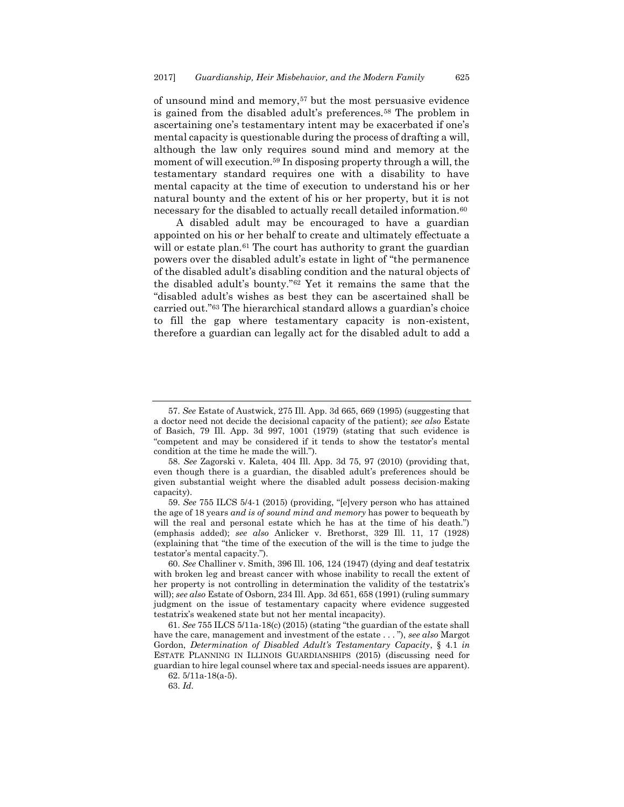of unsound mind and memory,<sup>57</sup> but the most persuasive evidence is gained from the disabled adult's preferences.<sup>58</sup> The problem in ascertaining one's testamentary intent may be exacerbated if one's mental capacity is questionable during the process of drafting a will, although the law only requires sound mind and memory at the moment of will execution.<sup>59</sup> In disposing property through a will, the testamentary standard requires one with a disability to have mental capacity at the time of execution to understand his or her natural bounty and the extent of his or her property, but it is not necessary for the disabled to actually recall detailed information.<sup>60</sup>

A disabled adult may be encouraged to have a guardian appointed on his or her behalf to create and ultimately effectuate a will or estate plan.<sup>61</sup> The court has authority to grant the guardian powers over the disabled adult's estate in light of "the permanence of the disabled adult's disabling condition and the natural objects of the disabled adult's bounty."<sup>62</sup> Yet it remains the same that the "disabled adult's wishes as best they can be ascertained shall be carried out."<sup>63</sup> The hierarchical standard allows a guardian's choice to fill the gap where testamentary capacity is non-existent, therefore a guardian can legally act for the disabled adult to add a

<sup>57.</sup> *See* Estate of Austwick, 275 Ill. App. 3d 665, 669 (1995) (suggesting that a doctor need not decide the decisional capacity of the patient); *see also* Estate of Basich, 79 Ill. App. 3d 997, 1001 (1979) (stating that such evidence is "competent and may be considered if it tends to show the testator's mental condition at the time he made the will.").

<sup>58.</sup> *See* Zagorski v. Kaleta, 404 Ill. App. 3d 75, 97 (2010) (providing that, even though there is a guardian, the disabled adult's preferences should be given substantial weight where the disabled adult possess decision-making capacity).

<sup>59.</sup> *See* 755 ILCS 5/4-1 (2015) (providing, "[e]very person who has attained the age of 18 years *and is of sound mind and memory* has power to bequeath by will the real and personal estate which he has at the time of his death.") (emphasis added); *see also* Anlicker v. Brethorst, 329 Ill. 11, 17 (1928) (explaining that "the time of the execution of the will is the time to judge the testator's mental capacity.").

<sup>60.</sup> *See* Challiner v. Smith, 396 Ill. 106, 124 (1947) (dying and deaf testatrix with broken leg and breast cancer with whose inability to recall the extent of her property is not controlling in determination the validity of the testatrix's will); *see also* Estate of Osborn, 234 Ill. App. 3d 651, 658 (1991) (ruling summary judgment on the issue of testamentary capacity where evidence suggested testatrix's weakened state but not her mental incapacity).

<sup>61.</sup> *See* 755 ILCS 5/11a-18(c) (2015) (stating "the guardian of the estate shall have the care, management and investment of the estate . . . "), *see also* Margot Gordon, *Determination of Disabled Adult's Testamentary Capacity*, § 4.1 *in*  ESTATE PLANNING IN ILLINOIS GUARDIANSHIPS (2015) (discussing need for guardian to hire legal counsel where tax and special-needs issues are apparent). 62. 5/11a-18(a-5).

<sup>63.</sup> *Id.*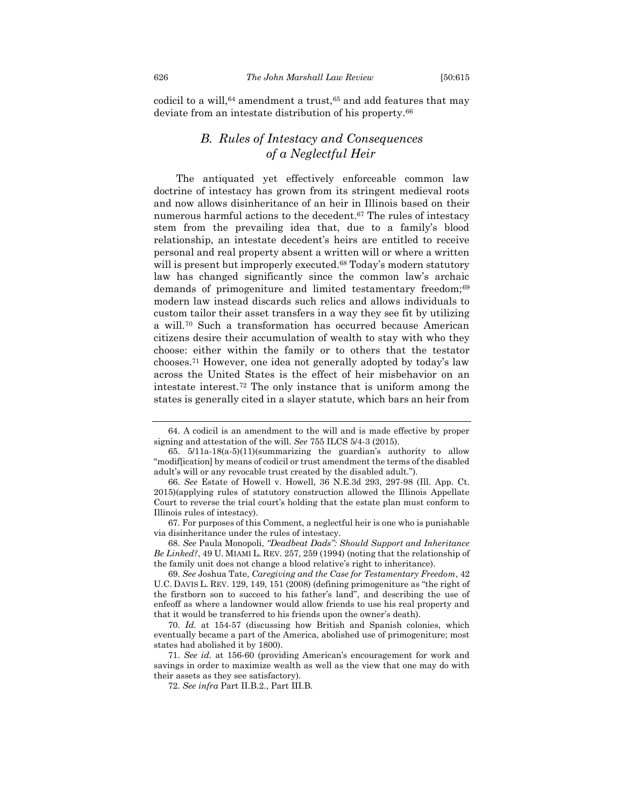<span id="page-12-0"></span>codicil to a will, $64$  amendment a trust, $65$  and add features that may deviate from an intestate distribution of his property.<sup>66</sup>

## <span id="page-12-2"></span><span id="page-12-1"></span>*B. Rules of Intestacy and Consequences of a Neglectful Heir*

The antiquated yet effectively enforceable common law doctrine of intestacy has grown from its stringent medieval roots and now allows disinheritance of an heir in Illinois based on their numerous harmful actions to the decedent. <sup>67</sup> The rules of intestacy stem from the prevailing idea that, due to a family's blood relationship, an intestate decedent's heirs are entitled to receive personal and real property absent a written will or where a written will is present but improperly executed.<sup>68</sup> Today's modern statutory law has changed significantly since the common law's archaic demands of primogeniture and limited testamentary freedom;<sup>69</sup> modern law instead discards such relics and allows individuals to custom tailor their asset transfers in a way they see fit by utilizing a will.<sup>70</sup> Such a transformation has occurred because American citizens desire their accumulation of wealth to stay with who they choose: either within the family or to others that the testator chooses.<sup>71</sup> However, one idea not generally adopted by today's law across the United States is the effect of heir misbehavior on an intestate interest.<sup>72</sup> The only instance that is uniform among the states is generally cited in a slayer statute, which bars an heir from

<sup>64.</sup> A codicil is an amendment to the will and is made effective by proper signing and attestation of the will. *See* 755 ILCS 5/4-3 (2015).

<sup>65.</sup> 5/11a-18(a-5)(11)(summarizing the guardian's authority to allow "modif[ication] by means of codicil or trust amendment the terms of the disabled adult's will or any revocable trust created by the disabled adult.").

<sup>66.</sup> *See* Estate of Howell v. Howell, 36 N.E.3d 293, 297-98 (Ill. App. Ct. 2015)(applying rules of statutory construction allowed the Illinois Appellate Court to reverse the trial court's holding that the estate plan must conform to Illinois rules of intestacy).

<sup>67.</sup> For purposes of this Comment, a neglectful heir is one who is punishable via disinheritance under the rules of intestacy.

<sup>68.</sup> *See* Paula Monopoli, *"Deadbeat Dads": Should Support and Inheritance Be Linked?*, 49 U. MIAMI L. REV. 257, 259 (1994) (noting that the relationship of the family unit does not change a blood relative's right to inheritance).

<sup>69.</sup> *See* Joshua Tate, *Caregiving and the Case for Testamentary Freedom*, 42 U.C. DAVIS L. REV. 129, 149, 151 (2008) (defining primogeniture as "the right of the firstborn son to succeed to his father's land", and describing the use of enfeoff as where a landowner would allow friends to use his real property and that it would be transferred to his friends upon the owner's death).

<sup>70.</sup> *Id.* at 154-57 (discussing how British and Spanish colonies, which eventually became a part of the America, abolished use of primogeniture; most states had abolished it by 1800).

<sup>71.</sup> *See id.* at 156-60 (providing American's encouragement for work and savings in order to maximize wealth as well as the view that one may do with their assets as they see satisfactory).

<sup>72.</sup> *See infra* Part II.B.2., Part III.B.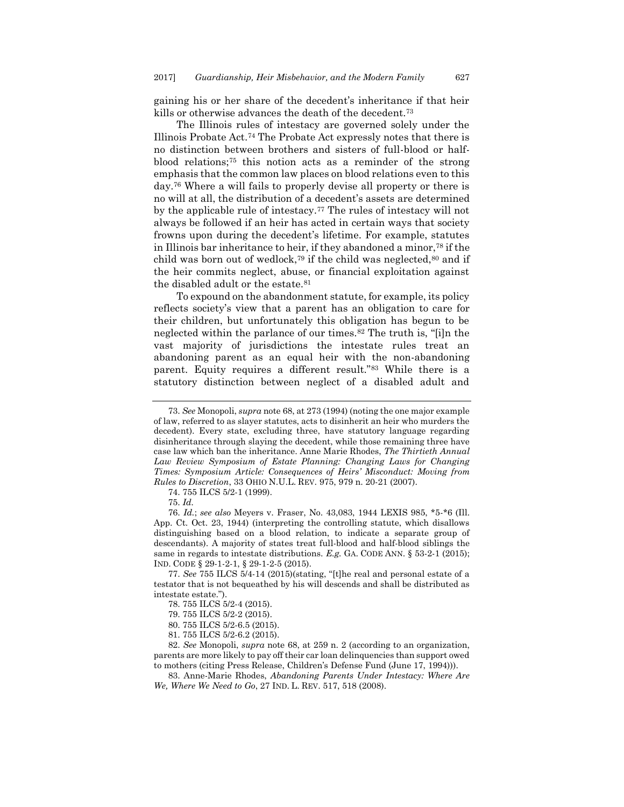gaining his or her share of the decedent's inheritance if that heir kills or otherwise advances the death of the decedent.<sup>73</sup>

The Illinois rules of intestacy are governed solely under the Illinois Probate Act.<sup>74</sup> The Probate Act expressly notes that there is no distinction between brothers and sisters of full-blood or halfblood relations;<sup>75</sup> this notion acts as a reminder of the strong emphasis that the common law places on blood relations even to this day.<sup>76</sup> Where a will fails to properly devise all property or there is no will at all, the distribution of a decedent's assets are determined by the applicable rule of intestacy.<sup>77</sup> The rules of intestacy will not always be followed if an heir has acted in certain ways that society frowns upon during the decedent's lifetime. For example, statutes in Illinois bar inheritance to heir, if they abandoned a minor,<sup>78</sup> if the child was born out of wedlock,<sup>79</sup> if the child was neglected, $80$  and if the heir commits neglect, abuse, or financial exploitation against the disabled adult or the estate.<sup>81</sup>

To expound on the abandonment statute, for example, its policy reflects society's view that a parent has an obligation to care for their children, but unfortunately this obligation has begun to be neglected within the parlance of our times.<sup>82</sup> The truth is, "[i]n the vast majority of jurisdictions the intestate rules treat an abandoning parent as an equal heir with the non-abandoning parent. Equity requires a different result."<sup>83</sup> While there is a statutory distinction between neglect of a disabled adult and

74. 755 ILCS 5/2-1 (1999).

77. *See* 755 ILCS 5/4-14 (2015)(stating, "[t]he real and personal estate of a testator that is not bequeathed by his will descends and shall be distributed as intestate estate.").

<sup>73.</sup> *See* Monopoli, *supra* not[e 68,](#page-12-1) at 273 (1994) (noting the one major example of law, referred to as slayer statutes, acts to disinherit an heir who murders the decedent). Every state, excluding three, have statutory language regarding disinheritance through slaying the decedent, while those remaining three have case law which ban the inheritance. Anne Marie Rhodes, *The Thirtieth Annual*  Law Review Symposium of Estate Planning: Changing Laws for Changing *Times: Symposium Article: Consequences of Heirs' Misconduct: Moving from Rules to Discretion*, 33 OHIO N.U.L. REV. 975, 979 n. 20-21 (2007).

<sup>75.</sup> *Id.*

<sup>76.</sup> *Id.*; *see also* Meyers v. Fraser, No. 43,083, 1944 LEXIS 985, \*5-\*6 (Ill. App. Ct. Oct. 23, 1944) (interpreting the controlling statute, which disallows distinguishing based on a blood relation, to indicate a separate group of descendants). A majority of states treat full-blood and half-blood siblings the same in regards to intestate distributions. *E.g.* GA. CODE ANN. § 53-2-1 (2015); IND. CODE § 29-1-2-1, § 29-1-2-5 (2015).

<sup>78.</sup> 755 ILCS 5/2-4 (2015).

<sup>79.</sup> 755 ILCS 5/2-2 (2015).

<sup>80.</sup> 755 ILCS 5/2-6.5 (2015).

<sup>81.</sup> 755 ILCS 5/2-6.2 (2015).

<sup>82.</sup> *See* Monopoli, *supra* note 68, at 259 n. 2 (according to an organization, parents are more likely to pay off their car loan delinquencies than support owed to mothers (citing Press Release, Children's Defense Fund (June 17, 1994))).

<sup>83.</sup> Anne-Marie Rhodes, *Abandoning Parents Under Intestacy: Where Are We, Where We Need to Go*, 27 IND. L. REV. 517, 518 (2008).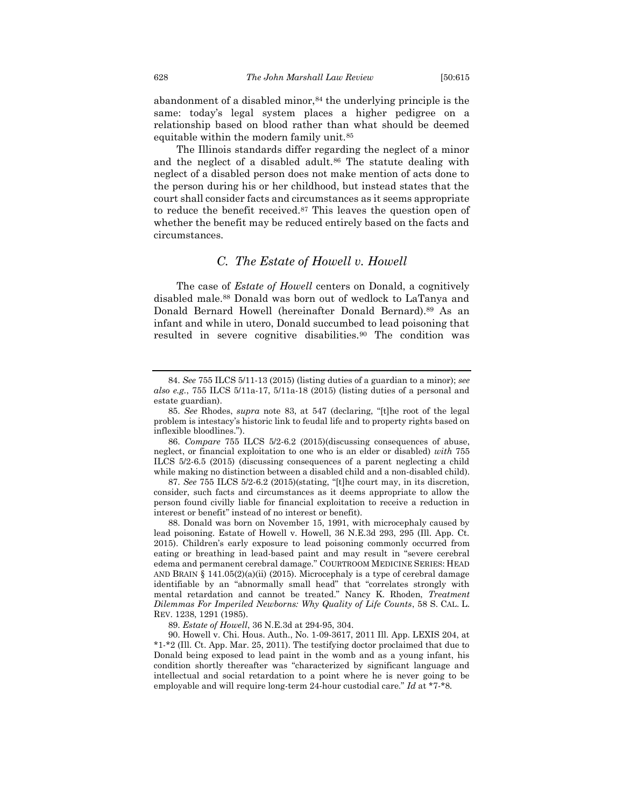abandonment of a disabled minor,<sup>84</sup> the underlying principle is the same: today's legal system places a higher pedigree on a relationship based on blood rather than what should be deemed equitable within the modern family unit.<sup>85</sup>

The Illinois standards differ regarding the neglect of a minor and the neglect of a disabled adult.<sup>86</sup> The statute dealing with neglect of a disabled person does not make mention of acts done to the person during his or her childhood, but instead states that the court shall consider facts and circumstances as it seems appropriate to reduce the benefit received.<sup>87</sup> This leaves the question open of whether the benefit may be reduced entirely based on the facts and circumstances.

#### *C. The Estate of Howell v. Howell*

<span id="page-14-0"></span>The case of *Estate of Howell* centers on Donald, a cognitively disabled male.<sup>88</sup> Donald was born out of wedlock to LaTanya and Donald Bernard Howell (hereinafter Donald Bernard).<sup>89</sup> As an infant and while in utero, Donald succumbed to lead poisoning that resulted in severe cognitive disabilities.<sup>90</sup> The condition was

<sup>84.</sup> *See* 755 ILCS 5/11-13 (2015) (listing duties of a guardian to a minor); *see also e.g.*, 755 ILCS 5/11a-17, 5/11a-18 (2015) (listing duties of a personal and estate guardian).

<sup>85.</sup> *See* Rhodes, *supra* note 83, at 547 (declaring, "[t]he root of the legal problem is intestacy's historic link to feudal life and to property rights based on inflexible bloodlines.").

<sup>86.</sup> *Compare* 755 ILCS 5/2-6.2 (2015)(discussing consequences of abuse, neglect, or financial exploitation to one who is an elder or disabled) *with* 755 ILCS 5/2-6.5 (2015) (discussing consequences of a parent neglecting a child while making no distinction between a disabled child and a non-disabled child).

<sup>87.</sup> *See* 755 ILCS 5/2-6.2 (2015)(stating, "[t]he court may, in its discretion, consider, such facts and circumstances as it deems appropriate to allow the person found civilly liable for financial exploitation to receive a reduction in interest or benefit" instead of no interest or benefit).

<sup>88.</sup> Donald was born on November 15, 1991, with microcephaly caused by lead poisoning. Estate of Howell v. Howell, 36 N.E.3d 293, 295 (Ill. App. Ct. 2015). Children's early exposure to lead poisoning commonly occurred from eating or breathing in lead-based paint and may result in "severe cerebral edema and permanent cerebral damage." COURTROOM MEDICINE SERIES: HEAD AND BRAIN § 141.05(2)(a)(ii) (2015). Microcephaly is a type of cerebral damage identifiable by an "abnormally small head" that "correlates strongly with mental retardation and cannot be treated." Nancy K. Rhoden, *Treatment Dilemmas For Imperiled Newborns: Why Quality of Life Counts*, 58 S. CAL. L. REV. 1238, 1291 (1985).

<sup>89.</sup> *Estate of Howell*, 36 N.E.3d at 294-95, 304.

<sup>90.</sup> Howell v. Chi. Hous. Auth., No. 1-09-3617, 2011 Ill. App. LEXIS 204, at \*1-\*2 (Ill. Ct. App. Mar. 25, 2011). The testifying doctor proclaimed that due to Donald being exposed to lead paint in the womb and as a young infant, his condition shortly thereafter was "characterized by significant language and intellectual and social retardation to a point where he is never going to be employable and will require long-term 24-hour custodial care." *Id* at \*7-\*8*.*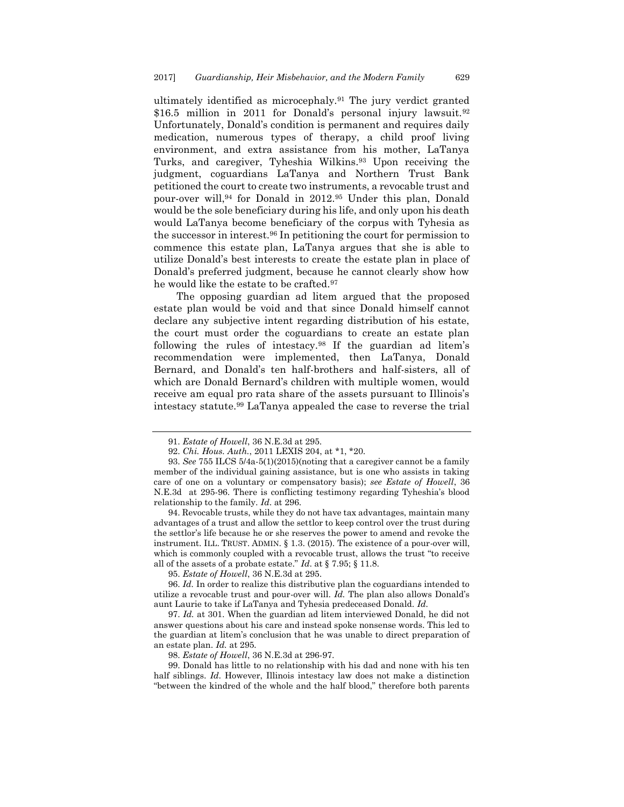ultimately identified as microcephaly.<sup>91</sup> The jury verdict granted \$16.5 million in 2011 for Donald's personal injury lawsuit.<sup>92</sup> Unfortunately, Donald's condition is permanent and requires daily medication, numerous types of therapy, a child proof living environment, and extra assistance from his mother, LaTanya Turks, and caregiver, Tyheshia Wilkins.<sup>93</sup> Upon receiving the judgment, coguardians LaTanya and Northern Trust Bank petitioned the court to create two instruments, a revocable trust and pour-over will,<sup>94</sup> for Donald in 2012.<sup>95</sup> Under this plan, Donald would be the sole beneficiary during his life, and only upon his death would LaTanya become beneficiary of the corpus with Tyhesia as the successor in interest.<sup>96</sup> In petitioning the court for permission to commence this estate plan, LaTanya argues that she is able to utilize Donald's best interests to create the estate plan in place of Donald's preferred judgment, because he cannot clearly show how he would like the estate to be crafted.<sup>97</sup>

The opposing guardian ad litem argued that the proposed estate plan would be void and that since Donald himself cannot declare any subjective intent regarding distribution of his estate, the court must order the coguardians to create an estate plan following the rules of intestacy.<sup>98</sup> If the guardian ad litem's recommendation were implemented, then LaTanya, Donald Bernard, and Donald's ten half-brothers and half-sisters, all of which are Donald Bernard's children with multiple women, would receive am equal pro rata share of the assets pursuant to Illinois's intestacy statute.<sup>99</sup> LaTanya appealed the case to reverse the trial

94. Revocable trusts, while they do not have tax advantages, maintain many advantages of a trust and allow the settlor to keep control over the trust during the settlor's life because he or she reserves the power to amend and revoke the instrument. ILL. TRUST. ADMIN. § 1.3. (2015). The existence of a pour-over will, which is commonly coupled with a revocable trust, allows the trust "to receive all of the assets of a probate estate." *Id*. at § 7.95; § 11.8.

95. *Estate of Howell*, 36 N.E.3d at 295.

96. *Id.* In order to realize this distributive plan the coguardians intended to utilize a revocable trust and pour-over will. *Id.* The plan also allows Donald's aunt Laurie to take if LaTanya and Tyhesia predeceased Donald. *Id.*

97. *Id.* at 301. When the guardian ad litem interviewed Donald, he did not answer questions about his care and instead spoke nonsense words. This led to the guardian at litem's conclusion that he was unable to direct preparation of an estate plan. *Id.* at 295*.*

98. *Estate of Howell*, 36 N.E.3d at 296-97.

99. Donald has little to no relationship with his dad and none with his ten half siblings. *Id*. However, Illinois intestacy law does not make a distinction "between the kindred of the whole and the half blood," therefore both parents

<sup>91.</sup> *Estate of Howell*, 36 N.E.3d at 295.

<sup>92.</sup> *Chi. Hous. Auth.*, 2011 LEXIS 204, at \*1, \*20.

<sup>93.</sup> *See* 755 ILCS 5/4a-5(1)(2015)(noting that a caregiver cannot be a family member of the individual gaining assistance, but is one who assists in taking care of one on a voluntary or compensatory basis); *see Estate of Howell*, 36 N.E.3d at 295-96. There is conflicting testimony regarding Tyheshia's blood relationship to the family. *Id*. at 296.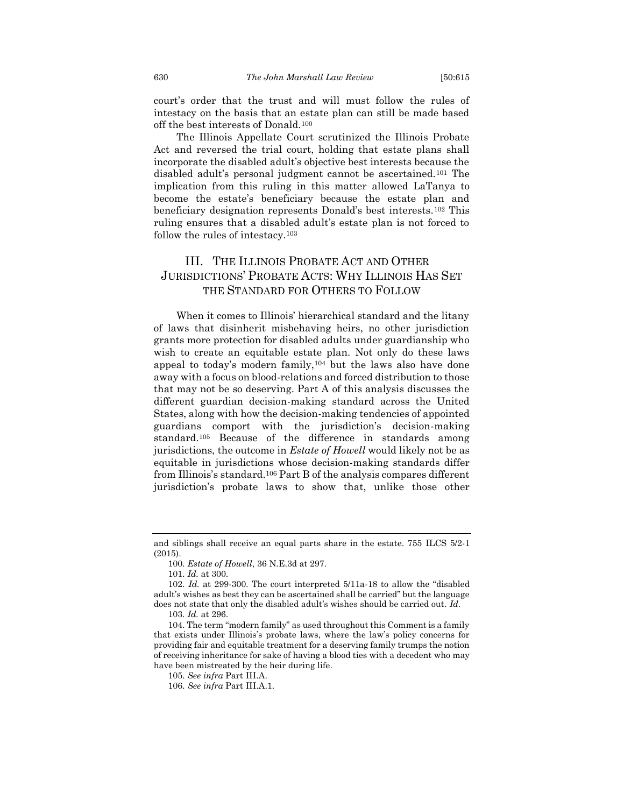court's order that the trust and will must follow the rules of intestacy on the basis that an estate plan can still be made based off the best interests of Donald.<sup>100</sup>

The Illinois Appellate Court scrutinized the Illinois Probate Act and reversed the trial court, holding that estate plans shall incorporate the disabled adult's objective best interests because the disabled adult's personal judgment cannot be ascertained.<sup>101</sup> The implication from this ruling in this matter allowed LaTanya to become the estate's beneficiary because the estate plan and beneficiary designation represents Donald's best interests.<sup>102</sup> This ruling ensures that a disabled adult's estate plan is not forced to follow the rules of intestacy.<sup>103</sup>

## <span id="page-16-0"></span>III. THE ILLINOIS PROBATE ACT AND OTHER JURISDICTIONS' PROBATE ACTS: WHY ILLINOIS HAS SET THE STANDARD FOR OTHERS TO FOLLOW

When it comes to Illinois' hierarchical standard and the litany of laws that disinherit misbehaving heirs, no other jurisdiction grants more protection for disabled adults under guardianship who wish to create an equitable estate plan. Not only do these laws appeal to today's modern family,<sup>104</sup> but the laws also have done away with a focus on blood-relations and forced distribution to those that may not be so deserving. Part A of this analysis discusses the different guardian decision-making standard across the United States, along with how the decision-making tendencies of appointed guardians comport with the jurisdiction's decision-making standard.<sup>105</sup> Because of the difference in standards among jurisdictions, the outcome in *Estate of Howell* would likely not be as equitable in jurisdictions whose decision-making standards differ from Illinois's standard.<sup>106</sup> Part B of the analysis compares different jurisdiction's probate laws to show that, unlike those other

and siblings shall receive an equal parts share in the estate. 755 ILCS 5/2-1 (2015).

<sup>100.</sup> *Estate of Howell*, 36 N.E.3d at 297.

<sup>101.</sup> *Id.* at 300.

<sup>102.</sup> *Id.* at 299-300. The court interpreted 5/11a-18 to allow the "disabled adult's wishes as best they can be ascertained shall be carried" but the language does not state that only the disabled adult's wishes should be carried out. *Id.*

<sup>103.</sup> *Id.* at 296.

<sup>104.</sup> The term "modern family" as used throughout this Comment is a family that exists under Illinois's probate laws, where the law's policy concerns for providing fair and equitable treatment for a deserving family trumps the notion of receiving inheritance for sake of having a blood ties with a decedent who may have been mistreated by the heir during life.

<sup>105.</sup> *See infra* Part III.A.

<sup>106.</sup> *See infra* Part III.A.1.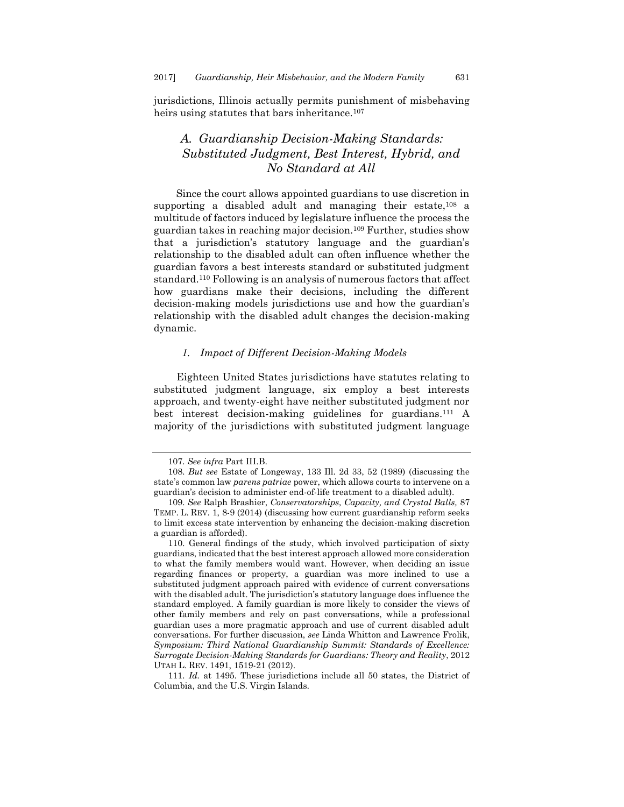jurisdictions, Illinois actually permits punishment of misbehaving heirs using statutes that bars inheritance.<sup>107</sup>

## <span id="page-17-0"></span>*A. Guardianship Decision-Making Standards: Substituted Judgment, Best Interest, Hybrid, and No Standard at All*

Since the court allows appointed guardians to use discretion in supporting a disabled adult and managing their estate,<sup>108</sup> a multitude of factors induced by legislature influence the process the guardian takes in reaching major decision.<sup>109</sup> Further, studies show that a jurisdiction's statutory language and the guardian's relationship to the disabled adult can often influence whether the guardian favors a best interests standard or substituted judgment standard.<sup>110</sup> Following is an analysis of numerous factors that affect how guardians make their decisions, including the different decision-making models jurisdictions use and how the guardian's relationship with the disabled adult changes the decision-making dynamic.

#### *1. Impact of Different Decision-Making Models*

<span id="page-17-1"></span>Eighteen United States jurisdictions have statutes relating to substituted judgment language, six employ a best interests approach, and twenty-eight have neither substituted judgment nor best interest decision-making guidelines for guardians. <sup>111</sup> A majority of the jurisdictions with substituted judgment language

<sup>107.</sup> *See infra* Part III.B.

<sup>108.</sup> *But see* Estate of Longeway, 133 Ill. 2d 33, 52 (1989) (discussing the state's common law *parens patriae* power, which allows courts to intervene on a guardian's decision to administer end-of-life treatment to a disabled adult).

<sup>109.</sup> *See* Ralph Brashier, *Conservatorships, Capacity, and Crystal Balls,* 87 TEMP. L. REV. 1, 8-9 (2014) (discussing how current guardianship reform seeks to limit excess state intervention by enhancing the decision-making discretion a guardian is afforded).

<sup>110.</sup> General findings of the study, which involved participation of sixty guardians, indicated that the best interest approach allowed more consideration to what the family members would want. However, when deciding an issue regarding finances or property, a guardian was more inclined to use a substituted judgment approach paired with evidence of current conversations with the disabled adult. The jurisdiction's statutory language does influence the standard employed. A family guardian is more likely to consider the views of other family members and rely on past conversations, while a professional guardian uses a more pragmatic approach and use of current disabled adult conversations. For further discussion, *see* Linda Whitton and Lawrence Frolik, *Symposium: Third National Guardianship Summit: Standards of Excellence: Surrogate Decision-Making Standards for Guardians: Theory and Reality*, 2012 UTAH L. REV. 1491, 1519-21 (2012).

<sup>111.</sup> *Id.* at 1495. These jurisdictions include all 50 states, the District of Columbia, and the U.S. Virgin Islands.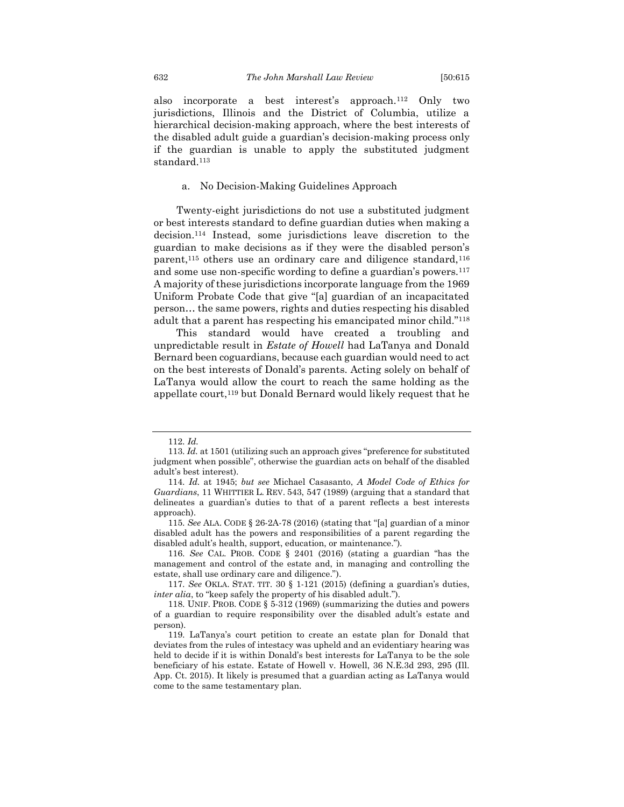also incorporate a best interest's approach.<sup>112</sup> Only two jurisdictions, Illinois and the District of Columbia, utilize a hierarchical decision-making approach, where the best interests of the disabled adult guide a guardian's decision-making process only if the guardian is unable to apply the substituted judgment standard.<sup>113</sup>

#### a. No Decision-Making Guidelines Approach

<span id="page-18-0"></span>Twenty-eight jurisdictions do not use a substituted judgment or best interests standard to define guardian duties when making a decision.<sup>114</sup> Instead, some jurisdictions leave discretion to the guardian to make decisions as if they were the disabled person's parent,<sup>115</sup> others use an ordinary care and diligence standard,<sup>116</sup> and some use non-specific wording to define a guardian's powers.<sup>117</sup> A majority of these jurisdictions incorporate language from the 1969 Uniform Probate Code that give "[a] guardian of an incapacitated person… the same powers, rights and duties respecting his disabled adult that a parent has respecting his emancipated minor child."<sup>118</sup>

This standard would have created a troubling and unpredictable result in *Estate of Howell* had LaTanya and Donald Bernard been coguardians, because each guardian would need to act on the best interests of Donald's parents. Acting solely on behalf of LaTanya would allow the court to reach the same holding as the appellate court,<sup>119</sup> but Donald Bernard would likely request that he

<sup>112.</sup> *Id.*

<sup>113.</sup> *Id.* at 1501 (utilizing such an approach gives "preference for substituted judgment when possible", otherwise the guardian acts on behalf of the disabled adult's best interest).

<sup>114.</sup> *Id.* at 1945; *but see* Michael Casasanto, *A Model Code of Ethics for Guardians*, 11 WHITTIER L. REV. 543, 547 (1989) (arguing that a standard that delineates a guardian's duties to that of a parent reflects a best interests approach).

<sup>115.</sup> *See* ALA. CODE § 26-2A-78 (2016) (stating that "[a] guardian of a minor disabled adult has the powers and responsibilities of a parent regarding the disabled adult's health, support, education, or maintenance.").

<sup>116.</sup> *See* CAL. PROB. CODE § 2401 (2016) (stating a guardian "has the management and control of the estate and, in managing and controlling the estate, shall use ordinary care and diligence.").

<sup>117.</sup> *See* OKLA. STAT. TIT. 30 § 1-121 (2015) (defining a guardian's duties, *inter alia*, to "keep safely the property of his disabled adult.").

<sup>118.</sup> UNIF. PROB. CODE § 5-312 (1969) (summarizing the duties and powers of a guardian to require responsibility over the disabled adult's estate and person).

<sup>119.</sup> LaTanya's court petition to create an estate plan for Donald that deviates from the rules of intestacy was upheld and an evidentiary hearing was held to decide if it is within Donald's best interests for LaTanya to be the sole beneficiary of his estate. Estate of Howell v. Howell, 36 N.E.3d 293, 295 (Ill. App. Ct. 2015). It likely is presumed that a guardian acting as LaTanya would come to the same testamentary plan.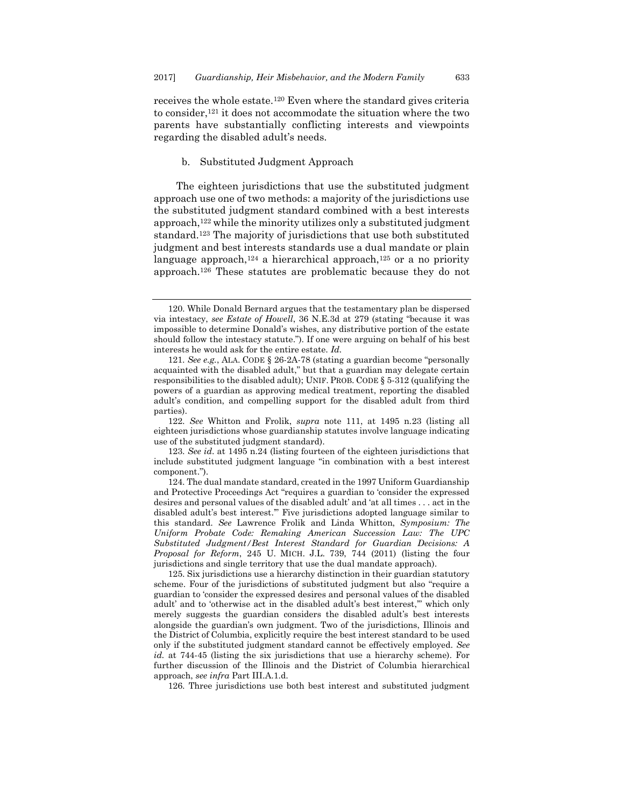receives the whole estate.<sup>120</sup> Even where the standard gives criteria to consider,<sup>121</sup> it does not accommodate the situation where the two parents have substantially conflicting interests and viewpoints regarding the disabled adult's needs.

#### b. Substituted Judgment Approach

<span id="page-19-0"></span>The eighteen jurisdictions that use the substituted judgment approach use one of two methods: a majority of the jurisdictions use the substituted judgment standard combined with a best interests approach,<sup>122</sup> while the minority utilizes only a substituted judgment standard.<sup>123</sup> The majority of jurisdictions that use both substituted judgment and best interests standards use a dual mandate or plain language approach, $124$  a hierarchical approach, $125$  or a no priority approach.<sup>126</sup> These statutes are problematic because they do not

122. *See* Whitton and Frolik, *supra* note 111, at 1495 n.23 (listing all eighteen jurisdictions whose guardianship statutes involve language indicating use of the substituted judgment standard).

123. *See id*. at 1495 n.24 (listing fourteen of the eighteen jurisdictions that include substituted judgment language "in combination with a best interest component.").

124. The dual mandate standard, created in the 1997 Uniform Guardianship and Protective Proceedings Act "requires a guardian to 'consider the expressed desires and personal values of the disabled adult' and 'at all times . . . act in the disabled adult's best interest.'" Five jurisdictions adopted language similar to this standard. *See* Lawrence Frolik and Linda Whitton, *Symposium: The Uniform Probate Code: Remaking American Succession Law: The UPC Substituted Judgment/Best Interest Standard for Guardian Decisions: A Proposal for Reform*, 245 U. MICH. J.L. 739, 744 (2011) (listing the four jurisdictions and single territory that use the dual mandate approach).

125. Six jurisdictions use a hierarchy distinction in their guardian statutory scheme. Four of the jurisdictions of substituted judgment but also "require a guardian to 'consider the expressed desires and personal values of the disabled adult' and to 'otherwise act in the disabled adult's best interest,'" which only merely suggests the guardian considers the disabled adult's best interests alongside the guardian's own judgment. Two of the jurisdictions, Illinois and the District of Columbia, explicitly require the best interest standard to be used only if the substituted judgment standard cannot be effectively employed. *See id.* at 744-45 (listing the six jurisdictions that use a hierarchy scheme). For further discussion of the Illinois and the District of Columbia hierarchical approach, *see infra* Part III.A.1.d.

126. Three jurisdictions use both best interest and substituted judgment

<sup>120.</sup> While Donald Bernard argues that the testamentary plan be dispersed via intestacy, *see Estate of Howell*, 36 N.E.3d at 279 (stating "because it was impossible to determine Donald's wishes, any distributive portion of the estate should follow the intestacy statute."). If one were arguing on behalf of his best interests he would ask for the entire estate. *Id.*

<sup>121.</sup> *See e.g.*, ALA. CODE § 26-2A-78 (stating a guardian become "personally acquainted with the disabled adult," but that a guardian may delegate certain responsibilities to the disabled adult); UNIF. PROB. CODE § 5-312 (qualifying the powers of a guardian as approving medical treatment, reporting the disabled adult's condition, and compelling support for the disabled adult from third parties).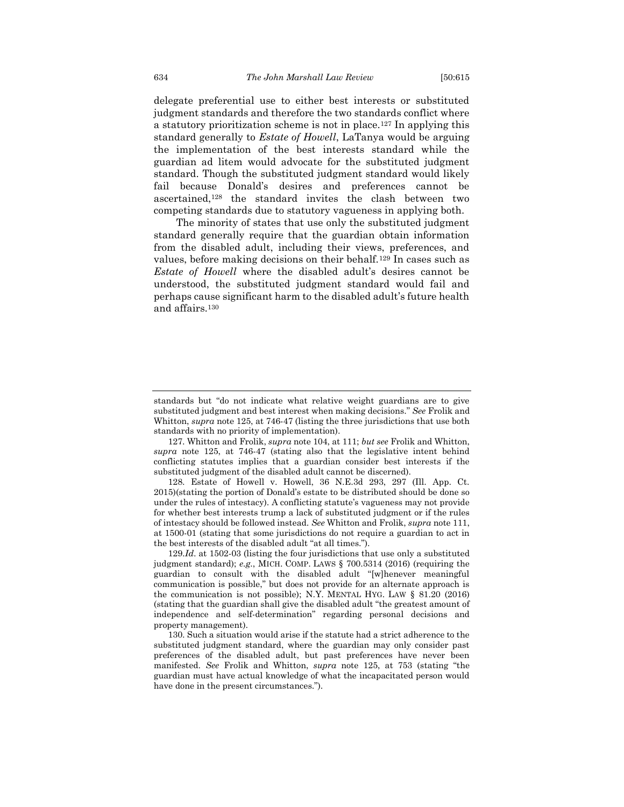delegate preferential use to either best interests or substituted judgment standards and therefore the two standards conflict where a statutory prioritization scheme is not in place.<sup>127</sup> In applying this standard generally to *Estate of Howell*, LaTanya would be arguing the implementation of the best interests standard while the guardian ad litem would advocate for the substituted judgment standard. Though the substituted judgment standard would likely fail because Donald's desires and preferences cannot be ascertained,<sup>128</sup> the standard invites the clash between two competing standards due to statutory vagueness in applying both.

The minority of states that use only the substituted judgment standard generally require that the guardian obtain information from the disabled adult, including their views, preferences, and values, before making decisions on their behalf.<sup>129</sup> In cases such as *Estate of Howell* where the disabled adult's desires cannot be understood, the substituted judgment standard would fail and perhaps cause significant harm to the disabled adult's future health and affairs.<sup>130</sup>

standards but "do not indicate what relative weight guardians are to give substituted judgment and best interest when making decisions." *See* Frolik and Whitton, *supra* note 125, at 746-47 (listing the three jurisdictions that use both standards with no priority of implementation).

<sup>127.</sup> Whitton and Frolik, *supra* note 104, at 111; *but see* Frolik and Whitton, *supra* note 125, at 746-47 (stating also that the legislative intent behind conflicting statutes implies that a guardian consider best interests if the substituted judgment of the disabled adult cannot be discerned).

<sup>128.</sup> Estate of Howell v. Howell, 36 N.E.3d 293, 297 (Ill. App. Ct. 2015)(stating the portion of Donald's estate to be distributed should be done so under the rules of intestacy). A conflicting statute's vagueness may not provide for whether best interests trump a lack of substituted judgment or if the rules of intestacy should be followed instead. *See* Whitton and Frolik, *supra* note 111, at 1500-01 (stating that some jurisdictions do not require a guardian to act in the best interests of the disabled adult "at all times.").

<sup>129.</sup>*Id*. at 1502-03 (listing the four jurisdictions that use only a substituted judgment standard); *e.g.*, MICH. COMP. LAWS § 700.5314 (2016) (requiring the guardian to consult with the disabled adult "[w]henever meaningful communication is possible," but does not provide for an alternate approach is the communication is not possible); N.Y. MENTAL HYG. LAW § 81.20 (2016) (stating that the guardian shall give the disabled adult "the greatest amount of independence and self-determination" regarding personal decisions and property management).

<sup>130.</sup> Such a situation would arise if the statute had a strict adherence to the substituted judgment standard, where the guardian may only consider past preferences of the disabled adult, but past preferences have never been manifested. *See* Frolik and Whitton, *supra* note 125, at 753 (stating "the guardian must have actual knowledge of what the incapacitated person would have done in the present circumstances.").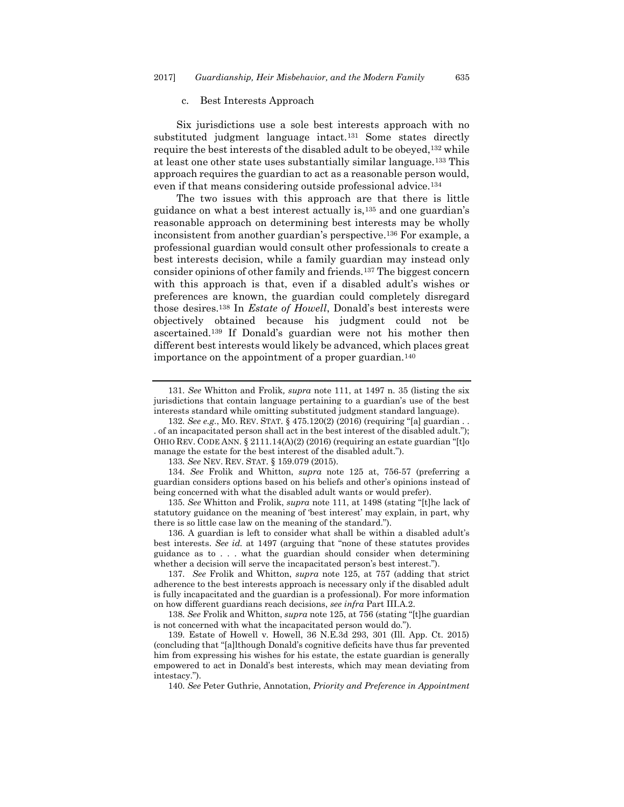#### c. Best Interests Approach

<span id="page-21-0"></span>Six jurisdictions use a sole best interests approach with no substituted judgment language intact.<sup>131</sup> Some states directly require the best interests of the disabled adult to be obeyed,<sup>132</sup> while at least one other state uses substantially similar language.<sup>133</sup> This approach requires the guardian to act as a reasonable person would, even if that means considering outside professional advice.<sup>134</sup>

The two issues with this approach are that there is little guidance on what a best interest actually is,<sup>135</sup> and one guardian's reasonable approach on determining best interests may be wholly inconsistent from another guardian's perspective.<sup>136</sup> For example, a professional guardian would consult other professionals to create a best interests decision, while a family guardian may instead only consider opinions of other family and friends.<sup>137</sup> The biggest concern with this approach is that, even if a disabled adult's wishes or preferences are known, the guardian could completely disregard those desires.<sup>138</sup> In *Estate of Howell*, Donald's best interests were objectively obtained because his judgment could not be ascertained.<sup>139</sup> If Donald's guardian were not his mother then different best interests would likely be advanced, which places great importance on the appointment of a proper guardian.<sup>140</sup>

132. *See e.g.*, MO. REV. STAT. § 475.120(2) (2016) (requiring "[a] guardian . . . of an incapacitated person shall act in the best interest of the disabled adult."); OHIO REV. CODE ANN. § 2111.14(A)(2) (2016) (requiring an estate guardian "[t]o manage the estate for the best interest of the disabled adult.").

133. *See* NEV. REV. STAT. § 159.079 (2015).

134. *See* Frolik and Whitton, *supra* note 125 at, 756-57 (preferring a guardian considers options based on his beliefs and other's opinions instead of being concerned with what the disabled adult wants or would prefer).

135. *See* Whitton and Frolik, *supra* note 111, at 1498 (stating "[t]he lack of statutory guidance on the meaning of 'best interest' may explain, in part, why there is so little case law on the meaning of the standard.").

136. A guardian is left to consider what shall be within a disabled adult's best interests. *See id.* at 1497 (arguing that "none of these statutes provides guidance as to . . . what the guardian should consider when determining whether a decision will serve the incapacitated person's best interest.").

137. *See* Frolik and Whitton, *supra* note 125, at 757 (adding that strict adherence to the best interests approach is necessary only if the disabled adult is fully incapacitated and the guardian is a professional). For more information on how different guardians reach decisions, *see infra* Part III.A.2.

138. *See* Frolik and Whitton, *supra* note 125, at 756 (stating "[t]he guardian is not concerned with what the incapacitated person would do.").

139. Estate of Howell v. Howell, 36 N.E.3d 293, 301 (Ill. App. Ct. 2015) (concluding that "[a]lthough Donald's cognitive deficits have thus far prevented him from expressing his wishes for his estate, the estate guardian is generally empowered to act in Donald's best interests, which may mean deviating from intestacy.").

140. *See* Peter Guthrie, Annotation, *Priority and Preference in Appointment* 

<sup>131.</sup> *See* Whitton and Frolik*, supra* note 111, at 1497 n. 35 (listing the six jurisdictions that contain language pertaining to a guardian's use of the best interests standard while omitting substituted judgment standard language).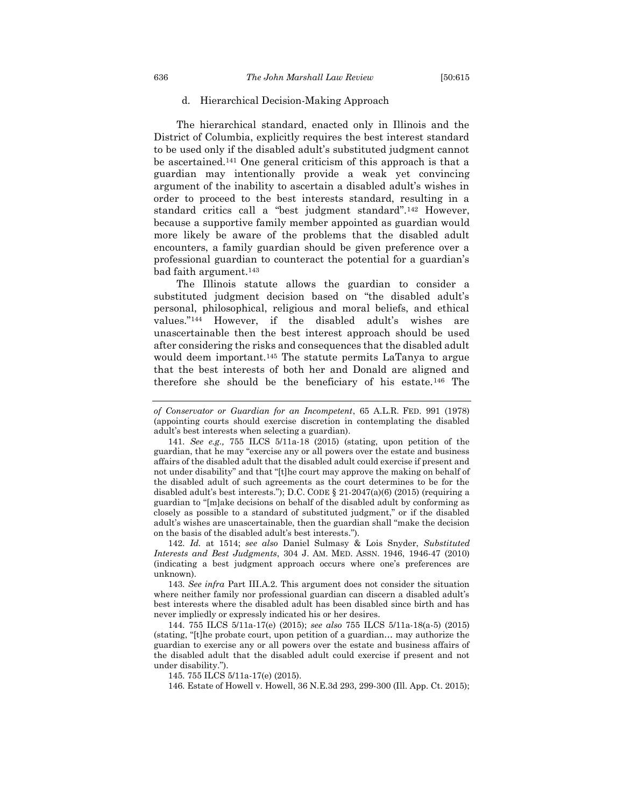#### d. Hierarchical Decision-Making Approach

The hierarchical standard, enacted only in Illinois and the District of Columbia, explicitly requires the best interest standard to be used only if the disabled adult's substituted judgment cannot be ascertained.<sup>141</sup> One general criticism of this approach is that a guardian may intentionally provide a weak yet convincing argument of the inability to ascertain a disabled adult's wishes in order to proceed to the best interests standard, resulting in a standard critics call a "best judgment standard".<sup>142</sup> However, because a supportive family member appointed as guardian would more likely be aware of the problems that the disabled adult encounters, a family guardian should be given preference over a professional guardian to counteract the potential for a guardian's bad faith argument.<sup>143</sup>

The Illinois statute allows the guardian to consider a substituted judgment decision based on "the disabled adult's personal, philosophical, religious and moral beliefs, and ethical values."<sup>144</sup> However, if the disabled adult's wishes are unascertainable then the best interest approach should be used after considering the risks and consequences that the disabled adult would deem important.<sup>145</sup> The statute permits LaTanya to argue that the best interests of both her and Donald are aligned and therefore she should be the beneficiary of his estate.<sup>146</sup> The

142. *Id.* at 1514; *see also* Daniel Sulmasy & Lois Snyder, *Substituted Interests and Best Judgments*, 304 J. AM. MED. ASSN. 1946, 1946-47 (2010) (indicating a best judgment approach occurs where one's preferences are unknown).

143. *See infra* Part III.A.2. This argument does not consider the situation where neither family nor professional guardian can discern a disabled adult's best interests where the disabled adult has been disabled since birth and has never impliedly or expressly indicated his or her desires.

144. 755 ILCS 5/11a-17(e) (2015); *see also* 755 ILCS 5/11a-18(a-5) (2015) (stating, "[t]he probate court, upon petition of a guardian… may authorize the guardian to exercise any or all powers over the estate and business affairs of the disabled adult that the disabled adult could exercise if present and not under disability.").

145. 755 ILCS 5/11a-17(e) (2015).

146. Estate of Howell v. Howell, 36 N.E.3d 293, 299-300 (Ill. App. Ct. 2015);

<span id="page-22-0"></span>

*of Conservator or Guardian for an Incompetent*, 65 A.L.R. FED. 991 (1978) (appointing courts should exercise discretion in contemplating the disabled adult's best interests when selecting a guardian).

<sup>141.</sup> *See e.g.,* 755 ILCS 5/11a-18 (2015) (stating, upon petition of the guardian, that he may "exercise any or all powers over the estate and business affairs of the disabled adult that the disabled adult could exercise if present and not under disability" and that "[t]he court may approve the making on behalf of the disabled adult of such agreements as the court determines to be for the disabled adult's best interests."); D.C. CODE  $\S 21-2047(a)(6)$  (2015) (requiring a guardian to "[m]ake decisions on behalf of the disabled adult by conforming as closely as possible to a standard of substituted judgment," or if the disabled adult's wishes are unascertainable, then the guardian shall "make the decision on the basis of the disabled adult's best interests.").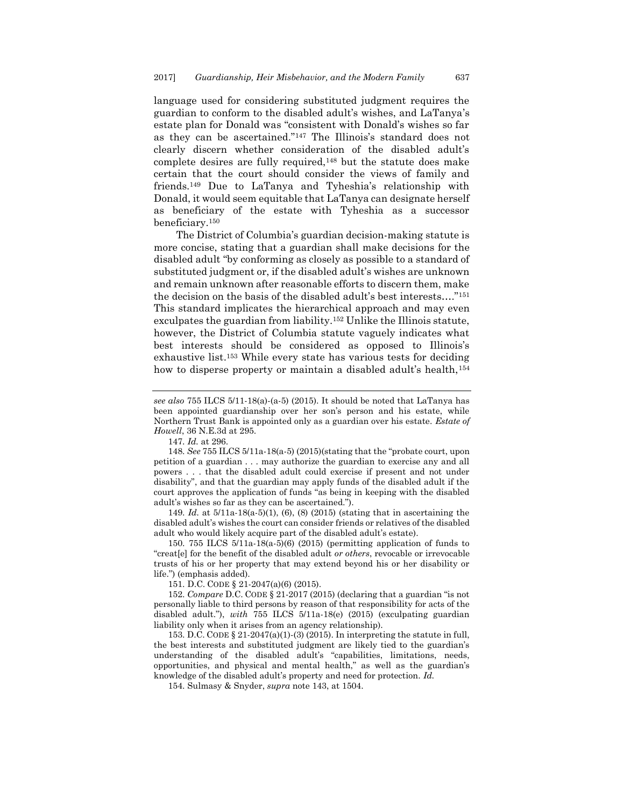language used for considering substituted judgment requires the guardian to conform to the disabled adult's wishes, and LaTanya's estate plan for Donald was "consistent with Donald's wishes so far as they can be ascertained."<sup>147</sup> The Illinois's standard does not clearly discern whether consideration of the disabled adult's complete desires are fully required,<sup>148</sup> but the statute does make certain that the court should consider the views of family and friends.<sup>149</sup> Due to LaTanya and Tyheshia's relationship with Donald, it would seem equitable that LaTanya can designate herself as beneficiary of the estate with Tyheshia as a successor beneficiary.<sup>150</sup>

The District of Columbia's guardian decision-making statute is more concise, stating that a guardian shall make decisions for the disabled adult "by conforming as closely as possible to a standard of substituted judgment or, if the disabled adult's wishes are unknown and remain unknown after reasonable efforts to discern them, make the decision on the basis of the disabled adult's best interests…."<sup>151</sup> This standard implicates the hierarchical approach and may even exculpates the guardian from liability.<sup>152</sup> Unlike the Illinois statute, however, the District of Columbia statute vaguely indicates what best interests should be considered as opposed to Illinois's exhaustive list. <sup>153</sup> While every state has various tests for deciding how to disperse property or maintain a disabled adult's health,<sup>154</sup>

149. *Id.* at 5/11a-18(a-5)(1), (6), (8) (2015) (stating that in ascertaining the disabled adult's wishes the court can consider friends or relatives of the disabled adult who would likely acquire part of the disabled adult's estate).

150. 755 ILCS 5/11a-18(a-5)(6) (2015) (permitting application of funds to "creat[e] for the benefit of the disabled adult *or others*, revocable or irrevocable trusts of his or her property that may extend beyond his or her disability or life.") (emphasis added).

151. D.C. CODE § 21-2047(a)(6) (2015).

152. *Compare* D.C. CODE § 21-2017 (2015) (declaring that a guardian "is not personally liable to third persons by reason of that responsibility for acts of the disabled adult."), *with* 755 ILCS 5/11a-18(e) (2015) (exculpating guardian liability only when it arises from an agency relationship).

153. D.C. CODE  $\S 21-2047(a)(1)-(3)(2015)$ . In interpreting the statute in full, the best interests and substituted judgment are likely tied to the guardian's understanding of the disabled adult's "capabilities, limitations, needs, opportunities, and physical and mental health," as well as the guardian's knowledge of the disabled adult's property and need for protection. *Id.*

154. Sulmasy & Snyder, *supra* note 143, at 1504.

*see also* 755 ILCS 5/11-18(a)-(a-5) (2015). It should be noted that LaTanya has been appointed guardianship over her son's person and his estate, while Northern Trust Bank is appointed only as a guardian over his estate. *Estate of Howell*, 36 N.E.3d at 295.

<sup>147.</sup> *Id.* at 296.

<sup>148.</sup> *See* 755 ILCS 5/11a-18(a-5) (2015)(stating that the "probate court, upon petition of a guardian . . . may authorize the guardian to exercise any and all powers . . . that the disabled adult could exercise if present and not under disability", and that the guardian may apply funds of the disabled adult if the court approves the application of funds "as being in keeping with the disabled adult's wishes so far as they can be ascertained.").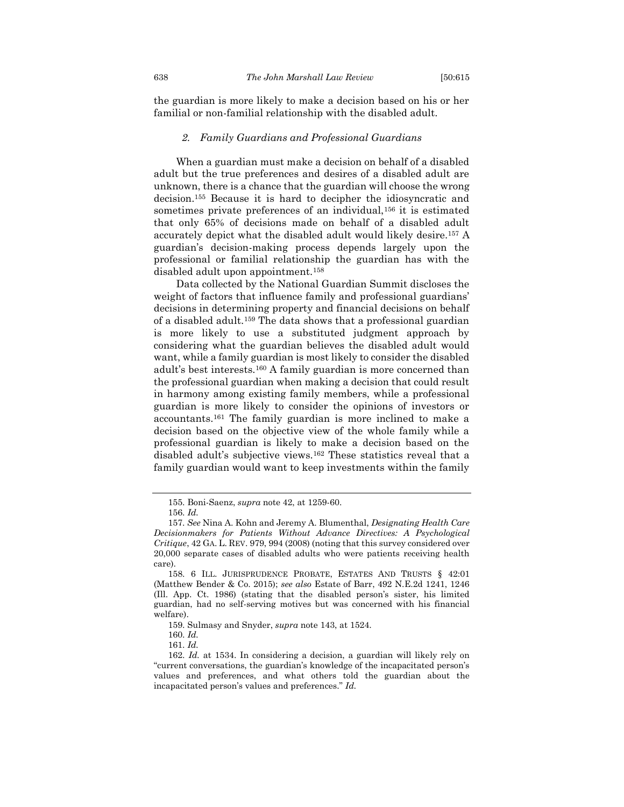the guardian is more likely to make a decision based on his or her familial or non-familial relationship with the disabled adult.

#### *2. Family Guardians and Professional Guardians*

<span id="page-24-0"></span>When a guardian must make a decision on behalf of a disabled adult but the true preferences and desires of a disabled adult are unknown, there is a chance that the guardian will choose the wrong decision.<sup>155</sup> Because it is hard to decipher the idiosyncratic and sometimes private preferences of an individual,<sup>156</sup> it is estimated that only 65% of decisions made on behalf of a disabled adult accurately depict what the disabled adult would likely desire.<sup>157</sup> A guardian's decision-making process depends largely upon the professional or familial relationship the guardian has with the disabled adult upon appointment.<sup>158</sup>

Data collected by the National Guardian Summit discloses the weight of factors that influence family and professional guardians' decisions in determining property and financial decisions on behalf of a disabled adult.<sup>159</sup> The data shows that a professional guardian is more likely to use a substituted judgment approach by considering what the guardian believes the disabled adult would want, while a family guardian is most likely to consider the disabled adult's best interests.<sup>160</sup> A family guardian is more concerned than the professional guardian when making a decision that could result in harmony among existing family members, while a professional guardian is more likely to consider the opinions of investors or accountants.<sup>161</sup> The family guardian is more inclined to make a decision based on the objective view of the whole family while a professional guardian is likely to make a decision based on the disabled adult's subjective views.<sup>162</sup> These statistics reveal that a family guardian would want to keep investments within the family

<sup>155.</sup> Boni-Saenz, *supra* note 42, at 1259-60.

<sup>156.</sup> *Id.*

<sup>157.</sup> *See* Nina A. Kohn and Jeremy A. Blumenthal, *Designating Health Care Decisionmakers for Patients Without Advance Directives: A Psychological Critique*, 42 GA. L. REV. 979, 994 (2008) (noting that this survey considered over 20,000 separate cases of disabled adults who were patients receiving health care).

<sup>158.</sup> 6 ILL. JURISPRUDENCE PROBATE, ESTATES AND TRUSTS § 42:01 (Matthew Bender & Co. 2015); *see also* Estate of Barr, 492 N.E.2d 1241, 1246 (Ill. App. Ct. 1986) (stating that the disabled person's sister, his limited guardian, had no self-serving motives but was concerned with his financial welfare).

<sup>159.</sup> Sulmasy and Snyder, *supra* note 143, at 1524.

<sup>160.</sup> *Id.*

<sup>161.</sup> *Id.*

<sup>162.</sup> *Id.* at 1534. In considering a decision, a guardian will likely rely on "current conversations, the guardian's knowledge of the incapacitated person's values and preferences, and what others told the guardian about the incapacitated person's values and preferences." *Id.*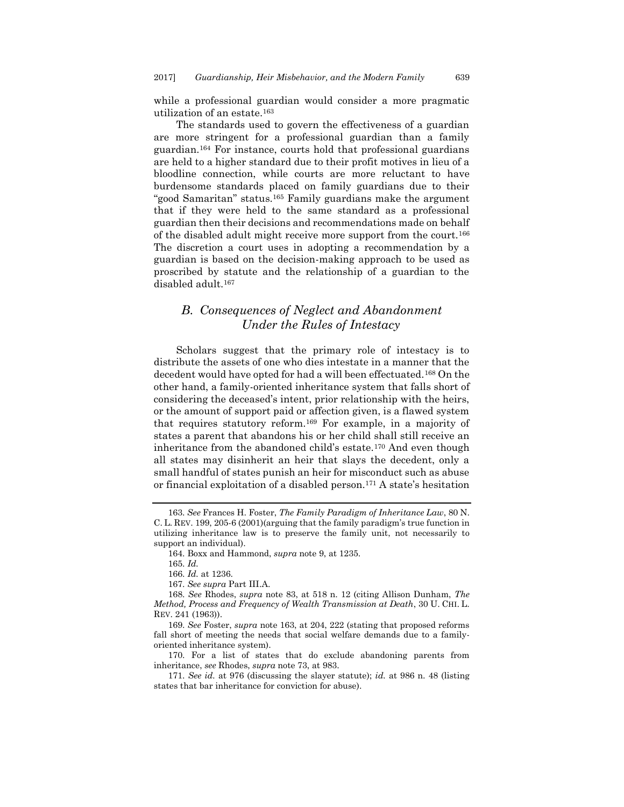while a professional guardian would consider a more pragmatic utilization of an estate.<sup>163</sup>

<span id="page-25-1"></span>The standards used to govern the effectiveness of a guardian are more stringent for a professional guardian than a family guardian.<sup>164</sup> For instance, courts hold that professional guardians are held to a higher standard due to their profit motives in lieu of a bloodline connection, while courts are more reluctant to have burdensome standards placed on family guardians due to their "good Samaritan" status.<sup>165</sup> Family guardians make the argument that if they were held to the same standard as a professional guardian then their decisions and recommendations made on behalf of the disabled adult might receive more support from the court.<sup>166</sup> The discretion a court uses in adopting a recommendation by a guardian is based on the decision-making approach to be used as proscribed by statute and the relationship of a guardian to the disabled adult.<sup>167</sup>

## <span id="page-25-0"></span>*B. Consequences of Neglect and Abandonment Under the Rules of Intestacy*

Scholars suggest that the primary role of intestacy is to distribute the assets of one who dies intestate in a manner that the decedent would have opted for had a will been effectuated.<sup>168</sup> On the other hand, a family-oriented inheritance system that falls short of considering the deceased's intent, prior relationship with the heirs, or the amount of support paid or affection given, is a flawed system that requires statutory reform.<sup>169</sup> For example, in a majority of states a parent that abandons his or her child shall still receive an inheritance from the abandoned child's estate.<sup>170</sup> And even though all states may disinherit an heir that slays the decedent, only a small handful of states punish an heir for misconduct such as abuse or financial exploitation of a disabled person.<sup>171</sup> A state's hesitation

<sup>163.</sup> *See* Frances H. Foster, *The Family Paradigm of Inheritance Law*, 80 N. C. L. REV. 199, 205-6 (2001)(arguing that the family paradigm's true function in utilizing inheritance law is to preserve the family unit, not necessarily to support an individual).

<sup>164.</sup> Boxx and Hammond, *supra* note [9,](#page-3-0) at 1235.

<sup>165.</sup> *Id.*

<sup>166.</sup> *Id.* at 1236.

<sup>167.</sup> *See supra* Part III.A.

<sup>168.</sup> *See* Rhodes, *supra* note 83, at 518 n. 12 (citing Allison Dunham, *The Method, Process and Frequency of Wealth Transmission at Death*, 30 U. CHI. L. REV. 241 (1963)).

<sup>169.</sup> *See* Foster, *supra* note [163,](#page-25-1) at 204, 222 (stating that proposed reforms fall short of meeting the needs that social welfare demands due to a familyoriented inheritance system).

<sup>170.</sup> For a list of states that do exclude abandoning parents from inheritance, *see* Rhodes, *supra* note 73, at 983.

<sup>171.</sup> *See id.* at 976 (discussing the slayer statute); *id.* at 986 n. 48 (listing states that bar inheritance for conviction for abuse).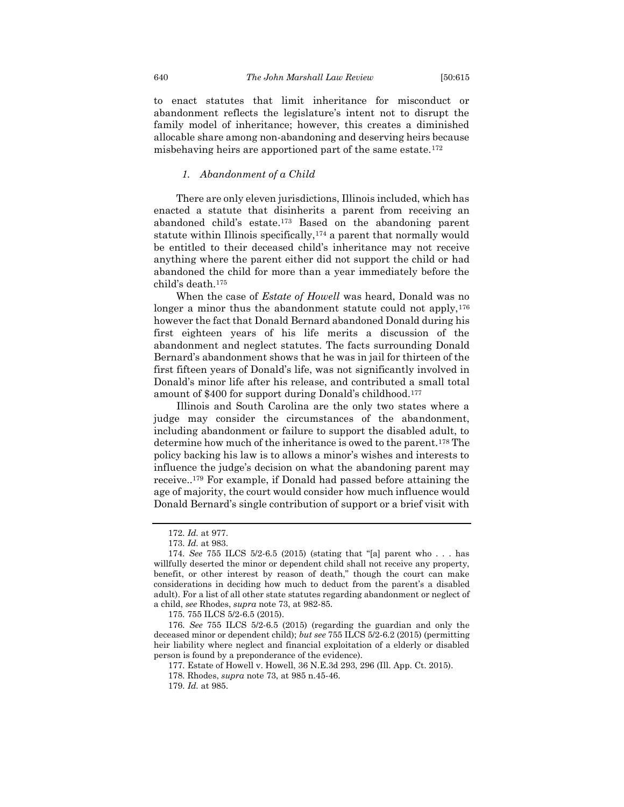to enact statutes that limit inheritance for misconduct or abandonment reflects the legislature's intent not to disrupt the family model of inheritance; however, this creates a diminished allocable share among non-abandoning and deserving heirs because misbehaving heirs are apportioned part of the same estate.<sup>172</sup>

#### *1. Abandonment of a Child*

<span id="page-26-0"></span>There are only eleven jurisdictions, Illinois included, which has enacted a statute that disinherits a parent from receiving an abandoned child's estate.<sup>173</sup> Based on the abandoning parent statute within Illinois specifically,<sup>174</sup> a parent that normally would be entitled to their deceased child's inheritance may not receive anything where the parent either did not support the child or had abandoned the child for more than a year immediately before the child's death.<sup>175</sup>

When the case of *Estate of Howell* was heard, Donald was no longer a minor thus the abandonment statute could not apply,<sup>176</sup> however the fact that Donald Bernard abandoned Donald during his first eighteen years of his life merits a discussion of the abandonment and neglect statutes. The facts surrounding Donald Bernard's abandonment shows that he was in jail for thirteen of the first fifteen years of Donald's life, was not significantly involved in Donald's minor life after his release, and contributed a small total amount of \$400 for support during Donald's childhood.<sup>177</sup>

Illinois and South Carolina are the only two states where a judge may consider the circumstances of the abandonment, including abandonment or failure to support the disabled adult, to determine how much of the inheritance is owed to the parent.<sup>178</sup> The policy backing his law is to allows a minor's wishes and interests to influence the judge's decision on what the abandoning parent may receive..<sup>179</sup> For example, if Donald had passed before attaining the age of majority, the court would consider how much influence would Donald Bernard's single contribution of support or a brief visit with

<sup>172.</sup> *Id.* at 977.

<sup>173.</sup> *Id.* at 983.

<sup>174.</sup> *See* 755 ILCS 5/2-6.5 (2015) (stating that "[a] parent who . . . has willfully deserted the minor or dependent child shall not receive any property, benefit, or other interest by reason of death," though the court can make considerations in deciding how much to deduct from the parent's a disabled adult). For a list of all other state statutes regarding abandonment or neglect of a child, *see* Rhodes, *supra* note 73, at 982-85.

<sup>175.</sup> 755 ILCS 5/2-6.5 (2015).

<sup>176.</sup> *See* 755 ILCS 5/2-6.5 (2015) (regarding the guardian and only the deceased minor or dependent child); *but see* 755 ILCS 5/2-6.2 (2015) (permitting heir liability where neglect and financial exploitation of a elderly or disabled person is found by a preponderance of the evidence).

<sup>177.</sup> Estate of Howell v. Howell, 36 N.E.3d 293, 296 (Ill. App. Ct. 2015).

<sup>178.</sup> Rhodes, *supra* note 73, at 985 n.45-46.

<sup>179.</sup> *Id.* at 985.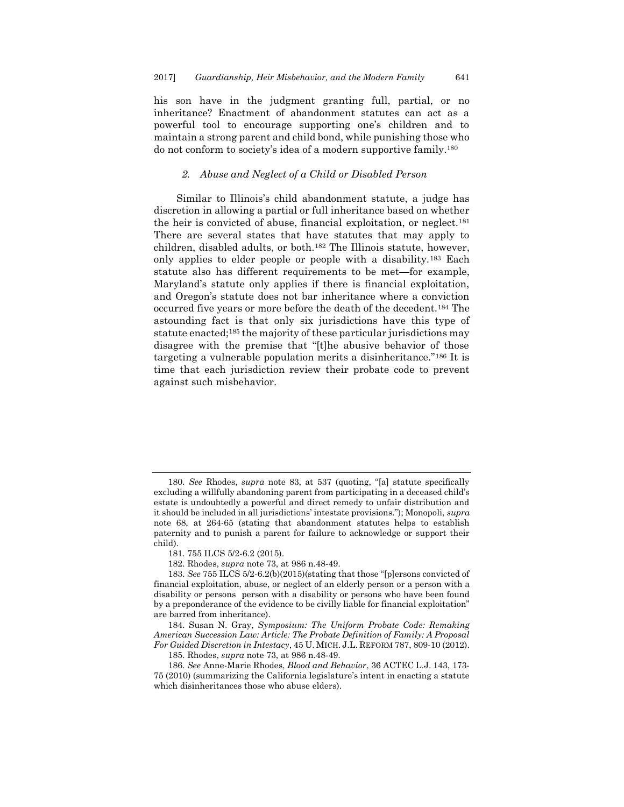his son have in the judgment granting full, partial, or no inheritance? Enactment of abandonment statutes can act as a powerful tool to encourage supporting one's children and to maintain a strong parent and child bond, while punishing those who do not conform to society's idea of a modern supportive family.<sup>180</sup>

#### *2. Abuse and Neglect of a Child or Disabled Person*

<span id="page-27-0"></span>Similar to Illinois's child abandonment statute, a judge has discretion in allowing a partial or full inheritance based on whether the heir is convicted of abuse, financial exploitation, or neglect.<sup>181</sup> There are several states that have statutes that may apply to children, disabled adults, or both.<sup>182</sup> The Illinois statute, however, only applies to elder people or people with a disability.<sup>183</sup> Each statute also has different requirements to be met—for example, Maryland's statute only applies if there is financial exploitation, and Oregon's statute does not bar inheritance where a conviction occurred five years or more before the death of the decedent.<sup>184</sup> The astounding fact is that only six jurisdictions have this type of statute enacted;<sup>185</sup> the majority of these particular jurisdictions may disagree with the premise that "[t]he abusive behavior of those targeting a vulnerable population merits a disinheritance."<sup>186</sup> It is time that each jurisdiction review their probate code to prevent against such misbehavior.

181. 755 ILCS 5/2-6.2 (2015).

182. Rhodes, *supra* note 73, at 986 n.48-49.

184. Susan N. Gray, *Symposium: The Uniform Probate Code: Remaking American Succession Law: Article: The Probate Definition of Family: A Proposal For Guided Discretion in Intestacy*, 45 U. MICH. J.L. REFORM 787, 809-10 (2012).

185. Rhodes, *supra* note 73, at 986 n.48-49.

186. *See* Anne-Marie Rhodes, *Blood and Behavior*, 36 ACTEC L.J. 143, 173- 75 (2010) (summarizing the California legislature's intent in enacting a statute which disinheritances those who abuse elders).

<sup>180.</sup> *See* Rhodes, *supra* note 83, at 537 (quoting, "[a] statute specifically excluding a willfully abandoning parent from participating in a deceased child's estate is undoubtedly a powerful and direct remedy to unfair distribution and it should be included in all jurisdictions' intestate provisions."); Monopoli, *supra* note 68, at 264-65 (stating that abandonment statutes helps to establish paternity and to punish a parent for failure to acknowledge or support their child).

<sup>183.</sup> *See* 755 ILCS 5/2-6.2(b)(2015)(stating that those "[p]ersons convicted of financial exploitation, abuse, or neglect of an elderly person or a person with a disability or persons person with a disability or persons who have been found by a preponderance of the evidence to be civilly liable for financial exploitation" are barred from inheritance).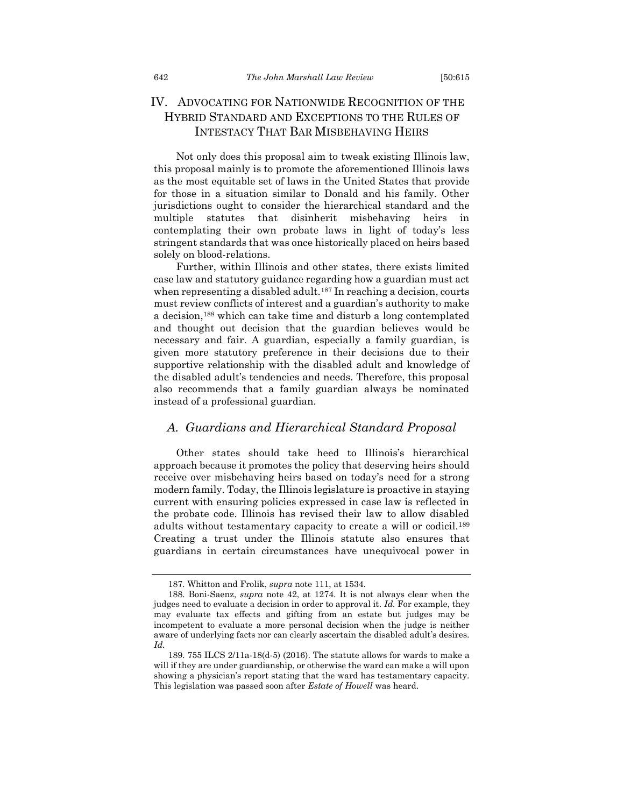## <span id="page-28-0"></span>IV. ADVOCATING FOR NATIONWIDE RECOGNITION OF THE HYBRID STANDARD AND EXCEPTIONS TO THE RULES OF INTESTACY THAT BAR MISBEHAVING HEIRS

Not only does this proposal aim to tweak existing Illinois law, this proposal mainly is to promote the aforementioned Illinois laws as the most equitable set of laws in the United States that provide for those in a situation similar to Donald and his family. Other jurisdictions ought to consider the hierarchical standard and the multiple statutes that disinherit misbehaving heirs in contemplating their own probate laws in light of today's less stringent standards that was once historically placed on heirs based solely on blood-relations.

Further, within Illinois and other states, there exists limited case law and statutory guidance regarding how a guardian must act when representing a disabled adult.<sup>187</sup> In reaching a decision, courts must review conflicts of interest and a guardian's authority to make a decision,<sup>188</sup> which can take time and disturb a long contemplated and thought out decision that the guardian believes would be necessary and fair. A guardian, especially a family guardian, is given more statutory preference in their decisions due to their supportive relationship with the disabled adult and knowledge of the disabled adult's tendencies and needs. Therefore, this proposal also recommends that a family guardian always be nominated instead of a professional guardian.

#### <span id="page-28-1"></span>*A. Guardians and Hierarchical Standard Proposal*

Other states should take heed to Illinois's hierarchical approach because it promotes the policy that deserving heirs should receive over misbehaving heirs based on today's need for a strong modern family. Today, the Illinois legislature is proactive in staying current with ensuring policies expressed in case law is reflected in the probate code. Illinois has revised their law to allow disabled adults without testamentary capacity to create a will or codicil.<sup>189</sup> Creating a trust under the Illinois statute also ensures that guardians in certain circumstances have unequivocal power in

<sup>187.</sup> Whitton and Frolik, *supra* note 111, at 1534.

<sup>188.</sup> Boni-Saenz, *supra* note [42,](#page-8-1) at 1274. It is not always clear when the judges need to evaluate a decision in order to approval it. *Id.* For example, they may evaluate tax effects and gifting from an estate but judges may be incompetent to evaluate a more personal decision when the judge is neither aware of underlying facts nor can clearly ascertain the disabled adult's desires. *Id.*

<sup>189.</sup> 755 ILCS 2/11a-18(d-5) (2016). The statute allows for wards to make a will if they are under guardianship, or otherwise the ward can make a will upon showing a physician's report stating that the ward has testamentary capacity. This legislation was passed soon after *Estate of Howell* was heard.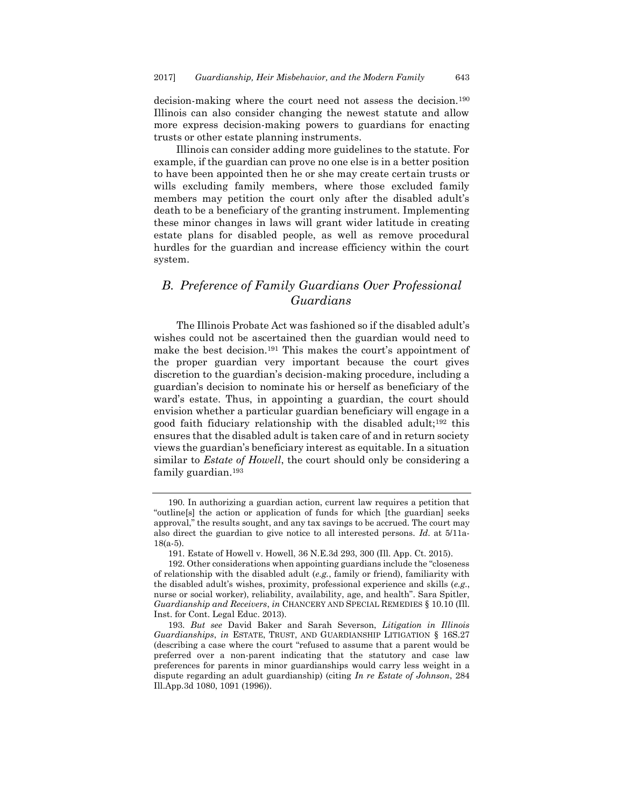decision-making where the court need not assess the decision.<sup>190</sup> Illinois can also consider changing the newest statute and allow more express decision-making powers to guardians for enacting trusts or other estate planning instruments.

Illinois can consider adding more guidelines to the statute. For example, if the guardian can prove no one else is in a better position to have been appointed then he or she may create certain trusts or wills excluding family members, where those excluded family members may petition the court only after the disabled adult's death to be a beneficiary of the granting instrument. Implementing these minor changes in laws will grant wider latitude in creating estate plans for disabled people, as well as remove procedural hurdles for the guardian and increase efficiency within the court system.

### <span id="page-29-0"></span>*B. Preference of Family Guardians Over Professional Guardians*

The Illinois Probate Act was fashioned so if the disabled adult's wishes could not be ascertained then the guardian would need to make the best decision.<sup>191</sup> This makes the court's appointment of the proper guardian very important because the court gives discretion to the guardian's decision-making procedure, including a guardian's decision to nominate his or herself as beneficiary of the ward's estate. Thus, in appointing a guardian, the court should envision whether a particular guardian beneficiary will engage in a good faith fiduciary relationship with the disabled adult;<sup>192</sup> this ensures that the disabled adult is taken care of and in return society views the guardian's beneficiary interest as equitable. In a situation similar to *Estate of Howell*, the court should only be considering a family guardian.<sup>193</sup>

<sup>190.</sup> In authorizing a guardian action, current law requires a petition that "outline[s] the action or application of funds for which [the guardian] seeks approval," the results sought, and any tax savings to be accrued. The court may also direct the guardian to give notice to all interested persons. *Id*. at 5/11a-18(a-5).

<sup>191.</sup> Estate of Howell v. Howell, 36 N.E.3d 293, 300 (Ill. App. Ct. 2015).

<sup>192.</sup> Other considerations when appointing guardians include the "closeness of relationship with the disabled adult (*e.g.*, family or friend), familiarity with the disabled adult's wishes, proximity, professional experience and skills (*e.g.*, nurse or social worker), reliability, availability, age, and health". Sara Spitler, *Guardianship and Receivers*, *in* CHANCERY AND SPECIAL REMEDIES § 10.10 (Ill. Inst. for Cont. Legal Educ. 2013).

<sup>193.</sup> *But see* David Baker and Sarah Severson, *Litigation in Illinois Guardianships*, *in* ESTATE, TRUST, AND GUARDIANSHIP LITIGATION § 16S.27 (describing a case where the court "refused to assume that a parent would be preferred over a non-parent indicating that the statutory and case law preferences for parents in minor guardianships would carry less weight in a dispute regarding an adult guardianship) (citing *In re Estate of Johnson*, 284 Ill.App.3d 1080, 1091 (1996)).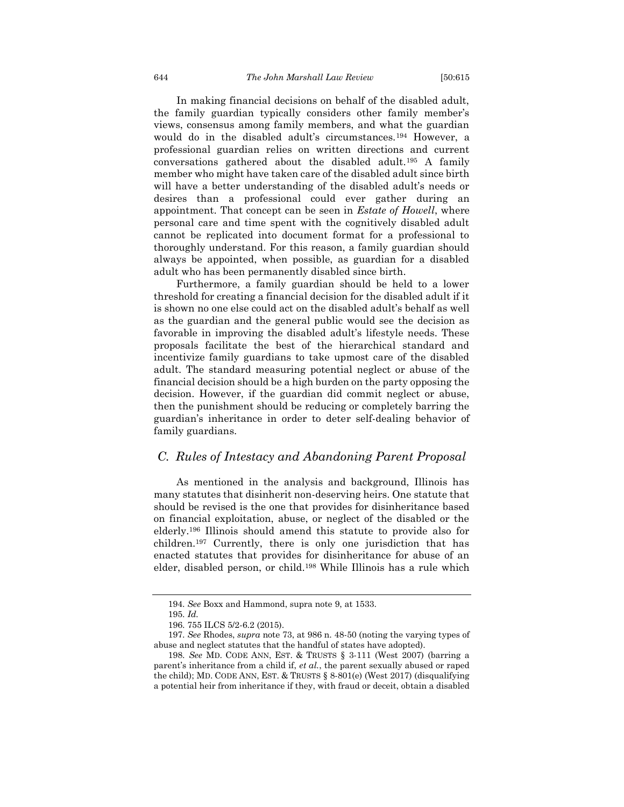In making financial decisions on behalf of the disabled adult, the family guardian typically considers other family member's views, consensus among family members, and what the guardian would do in the disabled adult's circumstances.<sup>194</sup> However, a professional guardian relies on written directions and current conversations gathered about the disabled adult.<sup>195</sup> A family member who might have taken care of the disabled adult since birth will have a better understanding of the disabled adult's needs or desires than a professional could ever gather during an appointment. That concept can be seen in *Estate of Howell*, where personal care and time spent with the cognitively disabled adult cannot be replicated into document format for a professional to thoroughly understand. For this reason, a family guardian should always be appointed, when possible, as guardian for a disabled adult who has been permanently disabled since birth.

Furthermore, a family guardian should be held to a lower threshold for creating a financial decision for the disabled adult if it is shown no one else could act on the disabled adult's behalf as well as the guardian and the general public would see the decision as favorable in improving the disabled adult's lifestyle needs. These proposals facilitate the best of the hierarchical standard and incentivize family guardians to take upmost care of the disabled adult. The standard measuring potential neglect or abuse of the financial decision should be a high burden on the party opposing the decision. However, if the guardian did commit neglect or abuse, then the punishment should be reducing or completely barring the guardian's inheritance in order to deter self-dealing behavior of family guardians.

### <span id="page-30-0"></span>*C. Rules of Intestacy and Abandoning Parent Proposal*

As mentioned in the analysis and background, Illinois has many statutes that disinherit non-deserving heirs. One statute that should be revised is the one that provides for disinheritance based on financial exploitation, abuse, or neglect of the disabled or the elderly.<sup>196</sup> Illinois should amend this statute to provide also for children.<sup>197</sup> Currently, there is only one jurisdiction that has enacted statutes that provides for disinheritance for abuse of an elder, disabled person, or child.<sup>198</sup> While Illinois has a rule which

<sup>194.</sup> *See* Boxx and Hammond, supra not[e 9,](#page-3-0) at 1533.

<sup>195.</sup> *Id.*

<sup>196.</sup> 755 ILCS 5/2-6.2 (2015).

<sup>197.</sup> *See* Rhodes, *supra* note 73, at 986 n. 48-50 (noting the varying types of abuse and neglect statutes that the handful of states have adopted).

<sup>198.</sup> *See* MD. CODE ANN, EST. & TRUSTS § 3-111 (West 2007) (barring a parent's inheritance from a child if, *et al.*, the parent sexually abused or raped the child); MD. CODE ANN, EST. & TRUSTS  $\S$  8-801(e) (West 2017) (disqualifying a potential heir from inheritance if they, with fraud or deceit, obtain a disabled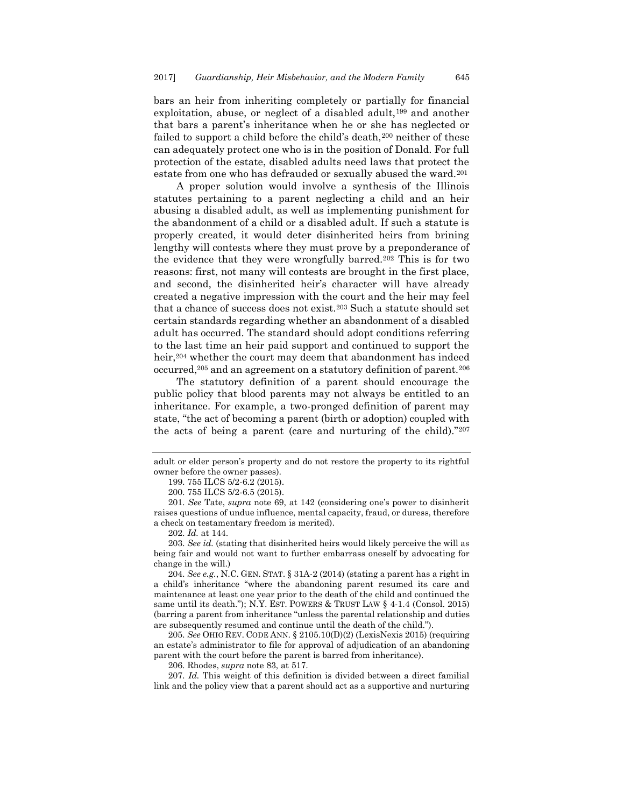bars an heir from inheriting completely or partially for financial exploitation, abuse, or neglect of a disabled adult,<sup>199</sup> and another that bars a parent's inheritance when he or she has neglected or failed to support a child before the child's death,<sup>200</sup> neither of these can adequately protect one who is in the position of Donald. For full protection of the estate, disabled adults need laws that protect the estate from one who has defrauded or sexually abused the ward.<sup>201</sup>

A proper solution would involve a synthesis of the Illinois statutes pertaining to a parent neglecting a child and an heir abusing a disabled adult, as well as implementing punishment for the abandonment of a child or a disabled adult. If such a statute is properly created, it would deter disinherited heirs from brining lengthy will contests where they must prove by a preponderance of the evidence that they were wrongfully barred.<sup>202</sup> This is for two reasons: first, not many will contests are brought in the first place, and second, the disinherited heir's character will have already created a negative impression with the court and the heir may feel that a chance of success does not exist.<sup>203</sup> Such a statute should set certain standards regarding whether an abandonment of a disabled adult has occurred. The standard should adopt conditions referring to the last time an heir paid support and continued to support the heir,<sup>204</sup> whether the court may deem that abandonment has indeed occurred,<sup>205</sup> and an agreement on a statutory definition of parent.<sup>206</sup>

The statutory definition of a parent should encourage the public policy that blood parents may not always be entitled to an inheritance. For example, a two-pronged definition of parent may state, "the act of becoming a parent (birth or adoption) coupled with the acts of being a parent (care and nurturing of the child)."<sup>207</sup>

adult or elder person's property and do not restore the property to its rightful owner before the owner passes).

<sup>199.</sup> 755 ILCS 5/2-6.2 (2015).

<sup>200.</sup> 755 ILCS 5/2-6.5 (2015).

<sup>201.</sup> *See* Tate, *supra* note [69](#page-12-2), at 142 (considering one's power to disinherit raises questions of undue influence, mental capacity, fraud, or duress, therefore a check on testamentary freedom is merited).

<sup>202.</sup> *Id.* at 144.

<sup>203.</sup> *See id.* (stating that disinherited heirs would likely perceive the will as being fair and would not want to further embarrass oneself by advocating for change in the will.)

<sup>204.</sup> *See e.g.*, N.C. GEN. STAT. § 31A-2 (2014) (stating a parent has a right in a child's inheritance "where the abandoning parent resumed its care and maintenance at least one year prior to the death of the child and continued the same until its death."); N.Y. EST. POWERS & TRUST LAW § 4-1.4 (Consol. 2015) (barring a parent from inheritance "unless the parental relationship and duties are subsequently resumed and continue until the death of the child.").

<sup>205.</sup> *See* OHIO REV. CODE ANN. § 2105.10(D)(2) (LexisNexis 2015) (requiring an estate's administrator to file for approval of adjudication of an abandoning parent with the court before the parent is barred from inheritance).

<sup>206.</sup> Rhodes, *supra* note 83, at 517.

<sup>207.</sup> *Id.* This weight of this definition is divided between a direct familial link and the policy view that a parent should act as a supportive and nurturing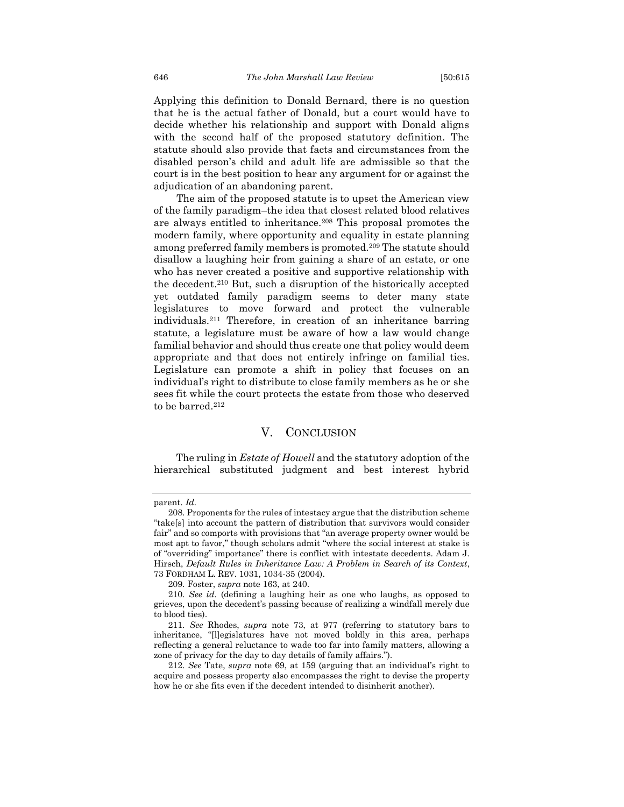Applying this definition to Donald Bernard, there is no question that he is the actual father of Donald, but a court would have to decide whether his relationship and support with Donald aligns with the second half of the proposed statutory definition. The statute should also provide that facts and circumstances from the disabled person's child and adult life are admissible so that the court is in the best position to hear any argument for or against the adjudication of an abandoning parent.

The aim of the proposed statute is to upset the American view of the family paradigm–the idea that closest related blood relatives are always entitled to inheritance.<sup>208</sup> This proposal promotes the modern family, where opportunity and equality in estate planning among preferred family members is promoted.<sup>209</sup> The statute should disallow a laughing heir from gaining a share of an estate, or one who has never created a positive and supportive relationship with the decedent.<sup>210</sup> But, such a disruption of the historically accepted yet outdated family paradigm seems to deter many state legislatures to move forward and protect the vulnerable individuals.<sup>211</sup> Therefore, in creation of an inheritance barring statute, a legislature must be aware of how a law would change familial behavior and should thus create one that policy would deem appropriate and that does not entirely infringe on familial ties. Legislature can promote a shift in policy that focuses on an individual's right to distribute to close family members as he or she sees fit while the court protects the estate from those who deserved to be barred.<sup>212</sup>

#### V. CONCLUSION

<span id="page-32-0"></span>The ruling in *Estate of Howell* and the statutory adoption of the hierarchical substituted judgment and best interest hybrid

parent. *Id.*

<sup>208.</sup> Proponents for the rules of intestacy argue that the distribution scheme "take[s] into account the pattern of distribution that survivors would consider fair" and so comports with provisions that "an average property owner would be most apt to favor," though scholars admit "where the social interest at stake is of "overriding" importance" there is conflict with intestate decedents. Adam J. Hirsch, *Default Rules in Inheritance Law: A Problem in Search of its Context*, 73 FORDHAM L. REV. 1031, 1034-35 (2004).

<sup>209.</sup> Foster, *supra* note [163,](#page-25-1) at 240.

<sup>210.</sup> *See id.* (defining a laughing heir as one who laughs, as opposed to grieves, upon the decedent's passing because of realizing a windfall merely due to blood ties).

<sup>211.</sup> *See* Rhodes, *supra* note 73, at 977 (referring to statutory bars to inheritance, "[l]egislatures have not moved boldly in this area, perhaps reflecting a general reluctance to wade too far into family matters, allowing a zone of privacy for the day to day details of family affairs.").

<sup>212.</sup> *See* Tate, *supra* note [69](#page-12-2), at 159 (arguing that an individual's right to acquire and possess property also encompasses the right to devise the property how he or she fits even if the decedent intended to disinherit another).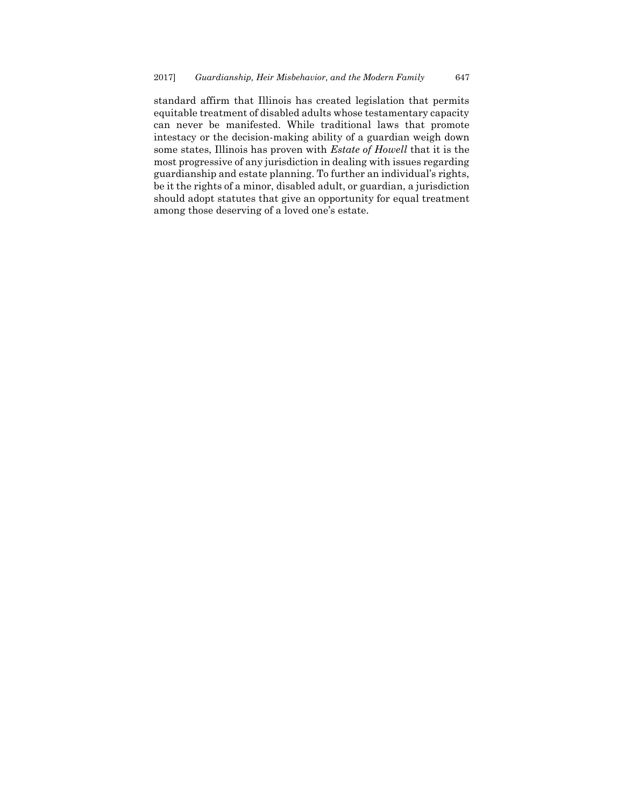standard affirm that Illinois has created legislation that permits equitable treatment of disabled adults whose testamentary capacity can never be manifested. While traditional laws that promote intestacy or the decision-making ability of a guardian weigh down some states, Illinois has proven with *Estate of Howell* that it is the most progressive of any jurisdiction in dealing with issues regarding guardianship and estate planning. To further an individual's rights, be it the rights of a minor, disabled adult, or guardian, a jurisdiction should adopt statutes that give an opportunity for equal treatment among those deserving of a loved one's estate.